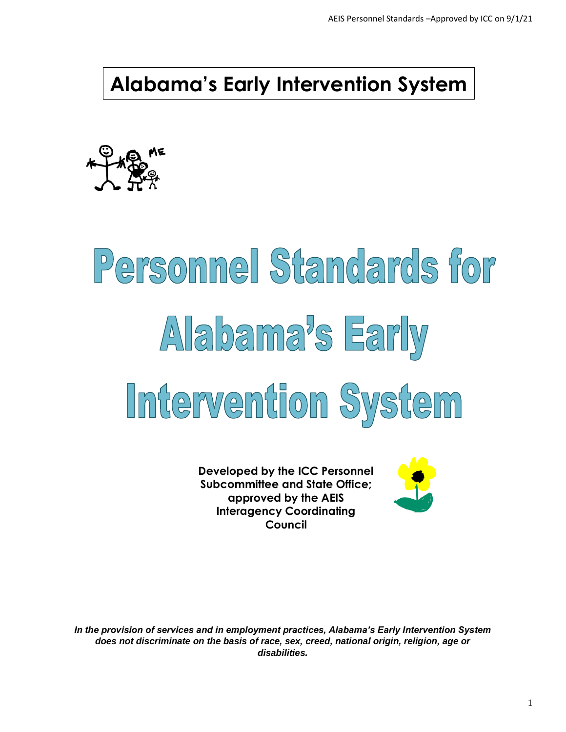**Alabama's Early Intervention System**



# Personnel Standards for Alabama's Early Intervention System

**Developed by the ICC Personnel Subcommittee and State Office; approved by the AEIS Interagency Coordinating Council**



*In the provision of services and in employment practices, Alabama's Early Intervention System does not discriminate on the basis of race, sex, creed, national origin, religion, age or disabilities.*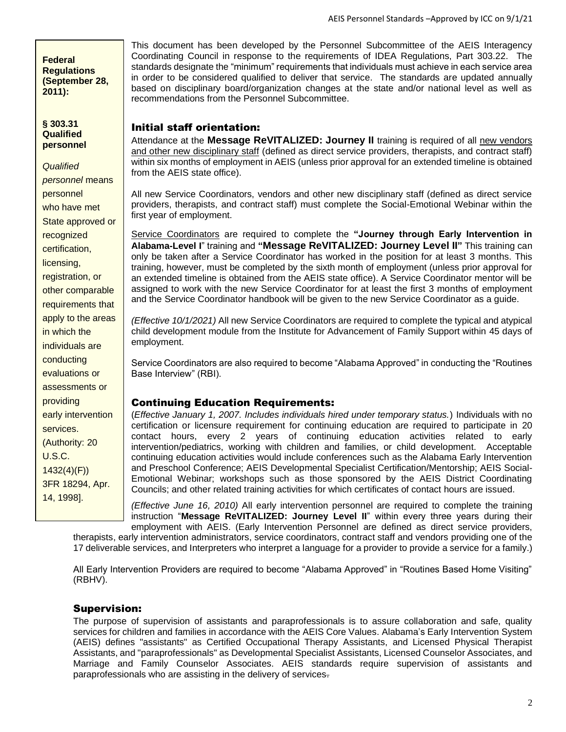**Federal Regulations (September 28, 2011):**

**§ 303.31 Qualified personnel**

*Qualified personnel* means personnel who have met State approved or recognized certification, licensing, registration, or other comparable requirements that apply to the areas in which the individuals are conducting evaluations or assessments or providing early intervention services. (Authority: 20 U.S.C. 1432(4)(F)) 3FR 18294, Apr. 14, 1998].

This document has been developed by the Personnel Subcommittee of the AEIS Interagency Coordinating Council in response to the requirements of IDEA Regulations, Part 303.22. The standards designate the "minimum" requirements that individuals must achieve in each service area in order to be considered qualified to deliver that service. The standards are updated annually based on disciplinary board/organization changes at the state and/or national level as well as recommendations from the Personnel Subcommittee.

#### Initial staff orientation:

Attendance at the **Message ReVITALIZED: Journey II** training is required of all new vendors and other new disciplinary staff (defined as direct service providers, therapists, and contract staff) within six months of employment in AEIS (unless prior approval for an extended timeline is obtained from the AEIS state office).

All new Service Coordinators, vendors and other new disciplinary staff (defined as direct service providers, therapists, and contract staff) must complete the Social-Emotional Webinar within the first year of employment.

Service Coordinators are required to complete the **"Journey through Early Intervention in Alabama-Level I**" training and **"Message ReVITALIZED: Journey Level II"** This training can only be taken after a Service Coordinator has worked in the position for at least 3 months. This training, however, must be completed by the sixth month of employment (unless prior approval for an extended timeline is obtained from the AEIS state office). A Service Coordinator mentor will be assigned to work with the new Service Coordinator for at least the first 3 months of employment and the Service Coordinator handbook will be given to the new Service Coordinator as a guide.

*(Effective 10/1/2021)* All new Service Coordinators are required to complete the typical and atypical child development module from the Institute for Advancement of Family Support within 45 days of employment.

Service Coordinators are also required to become "Alabama Approved" in conducting the "Routines Base Interview" (RBI).

#### Continuing Education Requirements:

(*Effective January 1, 2007. Includes individuals hired under temporary status.*) Individuals with no certification or licensure requirement for continuing education are required to participate in 20 contact hours, every 2 years of continuing education activities related to early intervention/pediatrics, working with children and families, or child development. Acceptable continuing education activities would include conferences such as the Alabama Early Intervention and Preschool Conference; AEIS Developmental Specialist Certification/Mentorship; AEIS Social-Emotional Webinar; workshops such as those sponsored by the AEIS District Coordinating Councils; and other related training activities for which certificates of contact hours are issued.

*(Effective June 16, 2010)* All early intervention personnel are required to complete the training instruction "**Message ReVITALIZED: Journey Level II**" within every three years during their employment with AEIS. (Early Intervention Personnel are defined as direct service providers,

therapists, early intervention administrators, service coordinators, contract staff and vendors providing one of the 17 deliverable services, and Interpreters who interpret a language for a provider to provide a service for a family.)

All Early Intervention Providers are required to become "Alabama Approved" in "Routines Based Home Visiting" (RBHV).

#### Supervision:

The purpose of supervision of assistants and paraprofessionals is to assure collaboration and safe, quality services for children and families in accordance with the AEIS Core Values. Alabama's Early Intervention System (AEIS) defines "assistants" as Certified Occupational Therapy Assistants, and Licensed Physical Therapist Assistants, and "paraprofessionals" as Developmental Specialist Assistants, Licensed Counselor Associates, and Marriage and Family Counselor Associates. AEIS standards require supervision of assistants and paraprofessionals who are assisting in the delivery of services.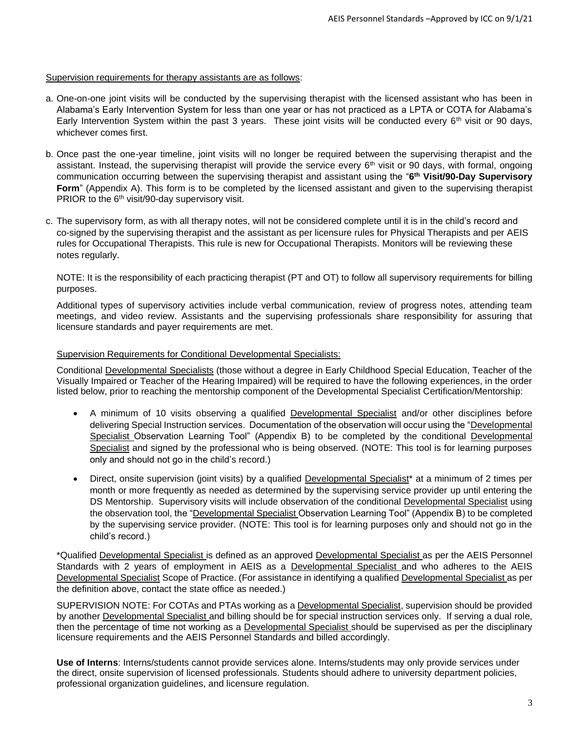#### Supervision requirements for therapy assistants are as follows:

- a. One-on-one joint visits will be conducted by the supervising therapist with the licensed assistant who has been in Alabama's Early Intervention System for less than one year or has not practiced as a LPTA or COTA for Alabama's Early Intervention System within the past 3 years. These joint visits will be conducted every  $6<sup>th</sup>$  visit or 90 days, whichever comes first.
- b. Once past the one-year timeline, joint visits will no longer be required between the supervising therapist and the assistant. Instead, the supervising therapist will provide the service every  $6<sup>th</sup>$  visit or 90 days, with formal, ongoing communication occurring between the supervising therapist and assistant using the "**6 th Visit/90-Day Supervisory Form**" (Appendix A). This form is to be completed by the licensed assistant and given to the supervising therapist PRIOR to the 6<sup>th</sup> visit/90-day supervisory visit.
- c. The supervisory form, as with all therapy notes, will not be considered complete until it is in the child's record and co-signed by the supervising therapist and the assistant as per licensure rules for Physical Therapists and per AEIS rules for Occupational Therapists. This rule is new for Occupational Therapists. Monitors will be reviewing these notes regularly.

NOTE: It is the responsibility of each practicing therapist (PT and OT) to follow all supervisory requirements for billing purposes.

Additional types of supervisory activities include verbal communication, review of progress notes, attending team meetings, and video review. Assistants and the supervising professionals share responsibility for assuring that licensure standards and payer requirements are met.

#### Supervision Requirements for Conditional Developmental Specialists:

Conditional Developmental Specialists (those without a degree in Early Childhood Special Education, Teacher of the Visually Impaired or Teacher of the Hearing Impaired) will be required to have the following experiences, in the order listed below, prior to reaching the mentorship component of the Developmental Specialist Certification/Mentorship:

- A minimum of 10 visits observing a qualified **Developmental Specialist** and/or other disciplines before delivering Special Instruction services. Documentation of the observation will occur using the "Developmental Specialist Observation Learning Tool" (Appendix B) to be completed by the conditional Developmental Specialist and signed by the professional who is being observed. (NOTE: This tool is for learning purposes only and should not go in the child's record.)
- Direct, onsite supervision (joint visits) by a qualified Developmental Specialist\* at a minimum of 2 times per month or more frequently as needed as determined by the supervising service provider up until entering the DS Mentorship. Supervisory visits will include observation of the conditional Developmental Specialist using the observation tool, the "Developmental Specialist Observation Learning Tool" (Appendix B) to be completed by the supervising service provider. (NOTE: This tool is for learning purposes only and should not go in the child's record.)

\*Qualified Developmental Specialist is defined as an approved Developmental Specialist as per the AEIS Personnel Standards with 2 years of employment in AEIS as a Developmental Specialist and who adheres to the AEIS Developmental Specialist Scope of Practice. (For assistance in identifying a qualified Developmental Specialist as per the definition above, contact the state office as needed.)

SUPERVISION NOTE: For COTAs and PTAs working as a Developmental Specialist, supervision should be provided by another Developmental Specialist and billing should be for special instruction services only. If serving a dual role, then the percentage of time not working as a Developmental Specialist should be supervised as per the disciplinary licensure requirements and the AEIS Personnel Standards and billed accordingly.

**Use of Interns**: Interns/students cannot provide services alone. Interns/students may only provide services under the direct, onsite supervision of licensed professionals. Students should adhere to university department policies, professional organization guidelines, and licensure regulation.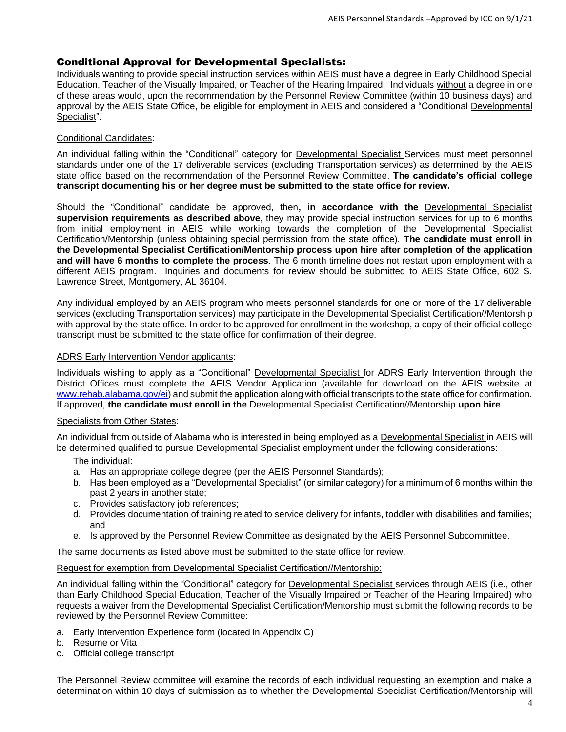#### Conditional Approval for Developmental Specialists:

Individuals wanting to provide special instruction services within AEIS must have a degree in Early Childhood Special Education, Teacher of the Visually Impaired, or Teacher of the Hearing Impaired. Individuals without a degree in one of these areas would, upon the recommendation by the Personnel Review Committee (within 10 business days) and approval by the AEIS State Office, be eligible for employment in AEIS and considered a "Conditional Developmental Specialist".

#### Conditional Candidates:

An individual falling within the "Conditional" category for Developmental Specialist Services must meet personnel standards under one of the 17 deliverable services (excluding Transportation services) as determined by the AEIS state office based on the recommendation of the Personnel Review Committee. **The candidate's official college transcript documenting his or her degree must be submitted to the state office for review.**

Should the "Conditional" candidate be approved, then**, in accordance with the** Developmental Specialist **supervision requirements as described above**, they may provide special instruction services for up to 6 months from initial employment in AEIS while working towards the completion of the Developmental Specialist Certification/Mentorship (unless obtaining special permission from the state office). **The candidate must enroll in the Developmental Specialist Certification/Mentorship process upon hire after completion of the application and will have 6 months to complete the process**. The 6 month timeline does not restart upon employment with a different AEIS program. Inquiries and documents for review should be submitted to AEIS State Office, 602 S. Lawrence Street, Montgomery, AL 36104.

Any individual employed by an AEIS program who meets personnel standards for one or more of the 17 deliverable services (excluding Transportation services) may participate in the Developmental Specialist Certification//Mentorship with approval by the state office. In order to be approved for enrollment in the workshop, a copy of their official college transcript must be submitted to the state office for confirmation of their degree.

#### ADRS Early Intervention Vendor applicants:

Individuals wishing to apply as a "Conditional" Developmental Specialist for ADRS Early Intervention through the District Offices must complete the AEIS Vendor Application (available for download on the AEIS website at [www.rehab.alabama.gov/ei\)](about:blank) and submit the application along with official transcripts to the state office for confirmation. If approved, **the candidate must enroll in the** Developmental Specialist Certification//Mentorship **upon hire**.

#### Specialists from Other States:

An individual from outside of Alabama who is interested in being employed as a Developmental Specialist in AEIS will be determined qualified to pursue Developmental Specialist employment under the following considerations:

The individual:

- a. Has an appropriate college degree (per the AEIS Personnel Standards);
- b. Has been employed as a "Developmental Specialist" (or similar category) for a minimum of 6 months within the past 2 years in another state;
- c. Provides satisfactory job references;
- d. Provides documentation of training related to service delivery for infants, toddler with disabilities and families; and
- e. Is approved by the Personnel Review Committee as designated by the AEIS Personnel Subcommittee.

The same documents as listed above must be submitted to the state office for review.

Request for exemption from Developmental Specialist Certification//Mentorship:

An individual falling within the "Conditional" category for Developmental Specialist services through AEIS (i.e., other than Early Childhood Special Education, Teacher of the Visually Impaired or Teacher of the Hearing Impaired) who requests a waiver from the Developmental Specialist Certification/Mentorship must submit the following records to be reviewed by the Personnel Review Committee:

- a. Early Intervention Experience form (located in Appendix C)
- b. Resume or Vita
- c. Official college transcript

The Personnel Review committee will examine the records of each individual requesting an exemption and make a determination within 10 days of submission as to whether the Developmental Specialist Certification/Mentorship will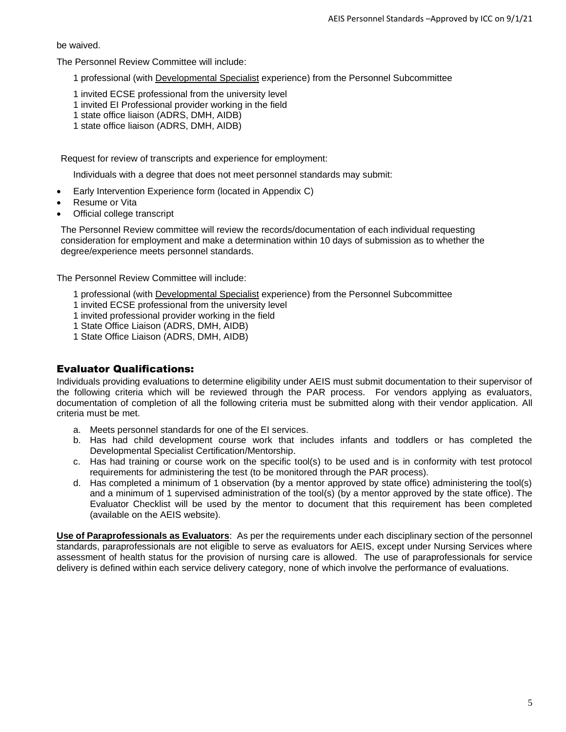be waived.

The Personnel Review Committee will include:

1 professional (with Developmental Specialist experience) from the Personnel Subcommittee

- 1 invited ECSE professional from the university level
- 1 invited EI Professional provider working in the field
- 1 state office liaison (ADRS, DMH, AIDB)
- 1 state office liaison (ADRS, DMH, AIDB)

Request for review of transcripts and experience for employment:

Individuals with a degree that does not meet personnel standards may submit:

- Early Intervention Experience form (located in Appendix C)
- Resume or Vita
- Official college transcript

The Personnel Review committee will review the records/documentation of each individual requesting consideration for employment and make a determination within 10 days of submission as to whether the degree/experience meets personnel standards.

The Personnel Review Committee will include:

- 1 professional (with Developmental Specialist experience) from the Personnel Subcommittee
- 1 invited ECSE professional from the university level
- 1 invited professional provider working in the field
- 1 State Office Liaison (ADRS, DMH, AIDB)
- 1 State Office Liaison (ADRS, DMH, AIDB)

#### Evaluator Qualifications:

Individuals providing evaluations to determine eligibility under AEIS must submit documentation to their supervisor of the following criteria which will be reviewed through the PAR process. For vendors applying as evaluators, documentation of completion of all the following criteria must be submitted along with their vendor application. All criteria must be met.

- a. Meets personnel standards for one of the EI services.
- b. Has had child development course work that includes infants and toddlers or has completed the Developmental Specialist Certification/Mentorship.
- c. Has had training or course work on the specific tool(s) to be used and is in conformity with test protocol requirements for administering the test (to be monitored through the PAR process).
- d. Has completed a minimum of 1 observation (by a mentor approved by state office) administering the tool(s) and a minimum of 1 supervised administration of the tool(s) (by a mentor approved by the state office). The Evaluator Checklist will be used by the mentor to document that this requirement has been completed (available on the AEIS website).

**Use of Paraprofessionals as Evaluators**: As per the requirements under each disciplinary section of the personnel standards, paraprofessionals are not eligible to serve as evaluators for AEIS, except under Nursing Services where assessment of health status for the provision of nursing care is allowed. The use of paraprofessionals for service delivery is defined within each service delivery category, none of which involve the performance of evaluations.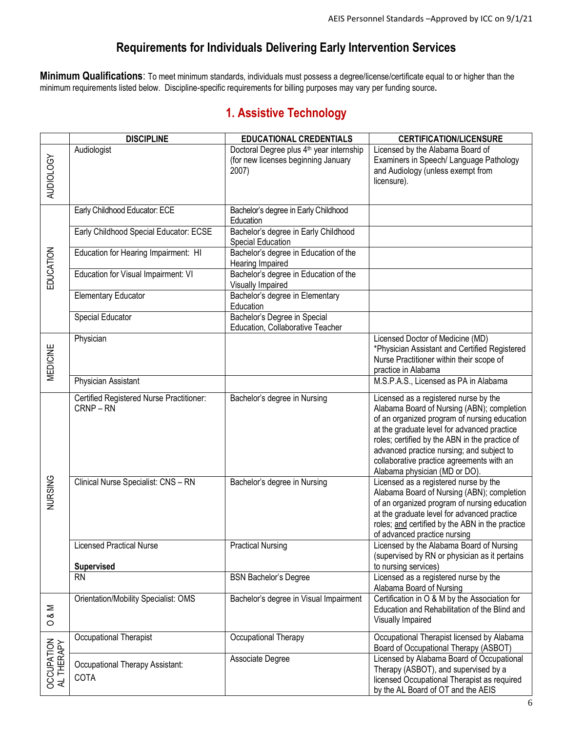#### **Requirements for Individuals Delivering Early Intervention Services**

**Minimum Qualifications**: To meet minimum standards, individuals must possess a degree/license/certificate equal to or higher than the minimum requirements listed below. Discipline-specific requirements for billing purposes may vary per funding source*.*

#### **1. Assistive Technology**

|                         | <b>DISCIPLINE</b>                                   | <b>EDUCATIONAL CREDENTIALS</b>                                                                       | <b>CERTIFICATION/LICENSURE</b>                                                                                                                                                                                                                                                                                                                                  |
|-------------------------|-----------------------------------------------------|------------------------------------------------------------------------------------------------------|-----------------------------------------------------------------------------------------------------------------------------------------------------------------------------------------------------------------------------------------------------------------------------------------------------------------------------------------------------------------|
| <b>AUDIOLOGY</b>        | Audiologist                                         | Doctoral Degree plus 4 <sup>th</sup> year internship<br>(for new licenses beginning January<br>2007) | Licensed by the Alabama Board of<br>Examiners in Speech/ Language Pathology<br>and Audiology (unless exempt from<br>licensure).                                                                                                                                                                                                                                 |
|                         | Early Childhood Educator: ECE                       | Bachelor's degree in Early Childhood<br>Education                                                    |                                                                                                                                                                                                                                                                                                                                                                 |
|                         | Early Childhood Special Educator: ECSE              | Bachelor's degree in Early Childhood<br>Special Education                                            |                                                                                                                                                                                                                                                                                                                                                                 |
| EDUCATION               | Education for Hearing Impairment: HI                | Bachelor's degree in Education of the<br>Hearing Impaired                                            |                                                                                                                                                                                                                                                                                                                                                                 |
|                         | Education for Visual Impairment: VI                 | Bachelor's degree in Education of the<br>Visually Impaired                                           |                                                                                                                                                                                                                                                                                                                                                                 |
|                         | <b>Elementary Educator</b>                          | Bachelor's degree in Elementary<br>Education                                                         |                                                                                                                                                                                                                                                                                                                                                                 |
|                         | Special Educator                                    | Bachelor's Degree in Special<br>Education, Collaborative Teacher                                     |                                                                                                                                                                                                                                                                                                                                                                 |
| MEDICINE                | Physician                                           |                                                                                                      | Licensed Doctor of Medicine (MD)<br>*Physician Assistant and Certified Registered<br>Nurse Practitioner within their scope of<br>practice in Alabama                                                                                                                                                                                                            |
|                         | Physician Assistant                                 |                                                                                                      | M.S.P.A.S., Licensed as PA in Alabama                                                                                                                                                                                                                                                                                                                           |
| NURSING                 | Certified Registered Nurse Practitioner:<br>CRNP-RN | Bachelor's degree in Nursing                                                                         | Licensed as a registered nurse by the<br>Alabama Board of Nursing (ABN); completion<br>of an organized program of nursing education<br>at the graduate level for advanced practice<br>roles; certified by the ABN in the practice of<br>advanced practice nursing; and subject to<br>collaborative practice agreements with an<br>Alabama physician (MD or DO). |
|                         | Clinical Nurse Specialist: CNS - RN                 | Bachelor's degree in Nursing                                                                         | Licensed as a registered nurse by the<br>Alabama Board of Nursing (ABN); completion<br>of an organized program of nursing education<br>at the graduate level for advanced practice<br>roles; and certified by the ABN in the practice<br>of advanced practice nursing                                                                                           |
|                         | Licensed Practical Nurse<br><b>Supervised</b>       | <b>Practical Nursing</b>                                                                             | Licensed by the Alabama Board of Nursing<br>(supervised by RN or physician as it pertains<br>to nursing services)                                                                                                                                                                                                                                               |
|                         | <b>RN</b>                                           | <b>BSN Bachelor's Degree</b>                                                                         | Licensed as a registered nurse by the<br>Alabama Board of Nursing                                                                                                                                                                                                                                                                                               |
| Σ<br>ంర<br>$\circ$      | Orientation/Mobility Specialist: OMS                | Bachelor's degree in Visual Impairment                                                               | Certification in O & M by the Association for<br>Education and Rehabilitation of the Blind and<br>Visually Impaired                                                                                                                                                                                                                                             |
|                         | Occupational Therapist                              | Occupational Therapy                                                                                 | Occupational Therapist licensed by Alabama<br>Board of Occupational Therapy (ASBOT)                                                                                                                                                                                                                                                                             |
| OCCUPATION<br>ALTHERAPY | Occupational Therapy Assistant:<br>COTA             | Associate Degree                                                                                     | Licensed by Alabama Board of Occupational<br>Therapy (ASBOT), and supervised by a<br>licensed Occupational Therapist as required<br>by the AL Board of OT and the AEIS                                                                                                                                                                                          |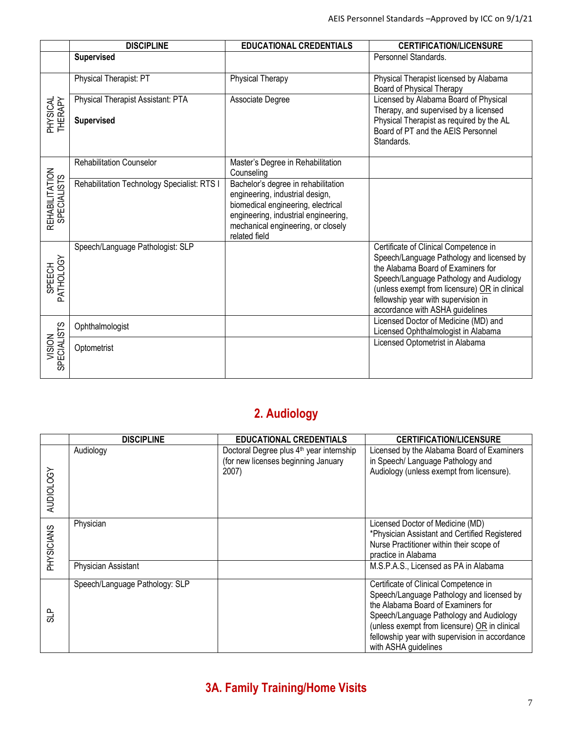|                               | <b>DISCIPLINE</b>                           | <b>EDUCATIONAL CREDENTIALS</b>                                                                                                                                                                              | <b>CERTIFICATION/LICENSURE</b>                                                               |
|-------------------------------|---------------------------------------------|-------------------------------------------------------------------------------------------------------------------------------------------------------------------------------------------------------------|----------------------------------------------------------------------------------------------|
|                               | <b>Supervised</b>                           |                                                                                                                                                                                                             | Personnel Standards.                                                                         |
|                               | Physical Therapist: PT                      | Physical Therapy                                                                                                                                                                                            | Physical Therapist licensed by Alabama<br>Board of Physical Therapy                          |
| <b>HYSICAL</b>                | Physical Therapist Assistant: PTA           | Associate Degree                                                                                                                                                                                            | Licensed by Alabama Board of Physical<br>Therapy, and supervised by a licensed               |
| THERAPY                       | <b>Supervised</b>                           |                                                                                                                                                                                                             | Physical Therapist as required by the AL<br>Board of PT and the AEIS Personnel<br>Standards. |
|                               | <b>Rehabilitation Counselor</b>             | Master's Degree in Rehabilitation<br>Counseling                                                                                                                                                             |                                                                                              |
| REHABILITATION<br>SPECIALISTS | Rehabilitation Technology Specialist: RTS I | Bachelor's degree in rehabilitation<br>engineering, industrial design,<br>biomedical engineering, electrical<br>engineering, industrial engineering,<br>mechanical engineering, or closely<br>related field |                                                                                              |
|                               | Speech/Language Pathologist: SLP            |                                                                                                                                                                                                             | Certificate of Clinical Competence in<br>Speech/Language Pathology and licensed by           |
| PATHOLOGY                     |                                             |                                                                                                                                                                                                             | the Alabama Board of Examiners for                                                           |
| SPEECH                        |                                             |                                                                                                                                                                                                             | Speech/Language Pathology and Audiology<br>(unless exempt from licensure) OR in clinical     |
|                               |                                             |                                                                                                                                                                                                             | fellowship year with supervision in                                                          |
|                               |                                             |                                                                                                                                                                                                             | accordance with ASHA guidelines                                                              |
|                               | Ophthalmologist                             |                                                                                                                                                                                                             | Licensed Doctor of Medicine (MD) and<br>Licensed Ophthalmologist in Alabama                  |
| <b>SPECIALISTS</b><br>VISION  | Optometrist                                 |                                                                                                                                                                                                             | Licensed Optometrist in Alabama                                                              |

## **2. Audiology**

|                  | <b>DISCIPLINE</b>                | <b>EDUCATIONAL CREDENTIALS</b>                                                                       | <b>CERTIFICATION/LICENSURE</b>                                                                                                                                                                                                                                                                 |
|------------------|----------------------------------|------------------------------------------------------------------------------------------------------|------------------------------------------------------------------------------------------------------------------------------------------------------------------------------------------------------------------------------------------------------------------------------------------------|
| <b>AUDIOLOGY</b> | Audiology                        | Doctoral Degree plus 4 <sup>th</sup> year internship<br>(for new licenses beginning January<br>2007) | Licensed by the Alabama Board of Examiners<br>in Speech/ Language Pathology and<br>Audiology (unless exempt from licensure).                                                                                                                                                                   |
| PHYSICIANS       | Physician<br>Physician Assistant |                                                                                                      | Licensed Doctor of Medicine (MD)<br>*Physician Assistant and Certified Registered<br>Nurse Practitioner within their scope of<br>practice in Alabama<br>M.S.P.A.S., Licensed as PA in Alabama                                                                                                  |
|                  |                                  |                                                                                                      |                                                                                                                                                                                                                                                                                                |
| 임<br>5           | Speech/Language Pathology: SLP   |                                                                                                      | Certificate of Clinical Competence in<br>Speech/Language Pathology and licensed by<br>the Alabama Board of Examiners for<br>Speech/Language Pathology and Audiology<br>(unless exempt from licensure) OR in clinical<br>fellowship year with supervision in accordance<br>with ASHA guidelines |

## **3A. Family Training/Home Visits**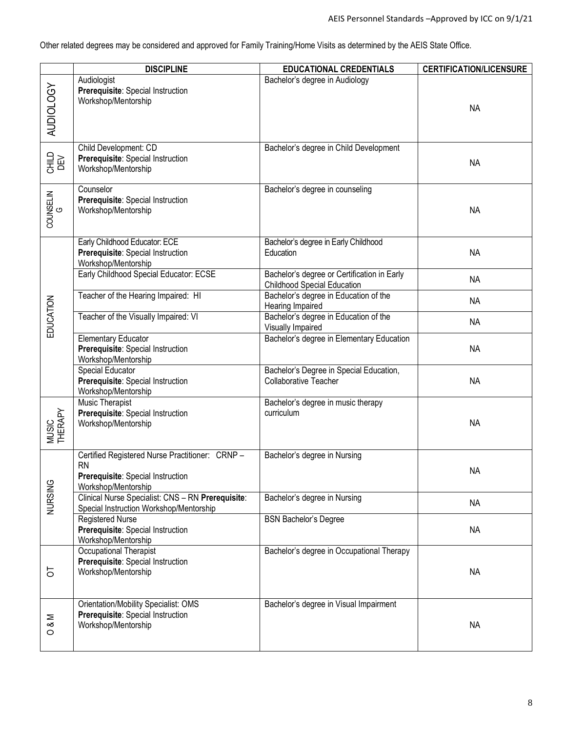Other related degrees may be considered and approved for Family Training/Home Visits as determined by the AEIS State Office.

|                          | <b>DISCIPLINE</b>                                                                                                       | <b>EDUCATIONAL CREDENTIALS</b>                                                    | <b>CERTIFICATION/LICENSURE</b> |
|--------------------------|-------------------------------------------------------------------------------------------------------------------------|-----------------------------------------------------------------------------------|--------------------------------|
| AUDIOLOGY                | Audiologist<br>Prerequisite: Special Instruction<br>Workshop/Mentorship                                                 | Bachelor's degree in Audiology                                                    | <b>NA</b>                      |
| 으로<br>이트<br>그리           | Child Development: CD<br>Prerequisite: Special Instruction<br>Workshop/Mentorship                                       | Bachelor's degree in Child Development                                            | <b>NA</b>                      |
| COUNSELIN                | Counselor<br>Prerequisite: Special Instruction<br>Workshop/Mentorship                                                   | Bachelor's degree in counseling                                                   | <b>NA</b>                      |
|                          | Early Childhood Educator: ECE<br>Prerequisite: Special Instruction<br>Workshop/Mentorship                               | Bachelor's degree in Early Childhood<br>Education                                 | <b>NA</b>                      |
|                          | Early Childhood Special Educator: ECSE                                                                                  | Bachelor's degree or Certification in Early<br><b>Childhood Special Education</b> | <b>NA</b>                      |
|                          | Teacher of the Hearing Impaired: HI                                                                                     | Bachelor's degree in Education of the<br>Hearing Impaired                         | <b>NA</b>                      |
| EDUCATION                | Teacher of the Visually Impaired: VI                                                                                    | Bachelor's degree in Education of the<br>Visually Impaired                        | <b>NA</b>                      |
|                          | <b>Elementary Educator</b><br>Prerequisite: Special Instruction<br>Workshop/Mentorship                                  | Bachelor's degree in Elementary Education                                         | <b>NA</b>                      |
|                          | Special Educator<br>Prerequisite: Special Instruction<br>Workshop/Mentorship                                            | Bachelor's Degree in Special Education,<br><b>Collaborative Teacher</b>           | <b>NA</b>                      |
| MUSIC<br>THERAPY         | <b>Music Therapist</b><br>Prerequisite: Special Instruction<br>Workshop/Mentorship                                      | Bachelor's degree in music therapy<br>curriculum                                  | <b>NA</b>                      |
|                          | Certified Registered Nurse Practitioner: CRNP-<br><b>RN</b><br>Prerequisite: Special Instruction<br>Workshop/Mentorship | Bachelor's degree in Nursing                                                      | NA                             |
| NURSING                  | Clinical Nurse Specialist: CNS - RN Prerequisite:<br>Special Instruction Workshop/Mentorship                            | Bachelor's degree in Nursing                                                      | <b>NA</b>                      |
|                          | Registered Nurse<br>Prerequisite: Special Instruction<br>Workshop/Mentorship                                            | <b>BSN Bachelor's Degree</b>                                                      | <b>NA</b>                      |
| 5                        | Occupational Therapist<br>Prerequisite: Special Instruction<br>Workshop/Mentorship                                      | Bachelor's degree in Occupational Therapy                                         | <b>NA</b>                      |
| $\frac{8}{3}$<br>$\circ$ | Orientation/Mobility Specialist: OMS<br>Prerequisite: Special Instruction<br>Workshop/Mentorship                        | Bachelor's degree in Visual Impairment                                            | <b>NA</b>                      |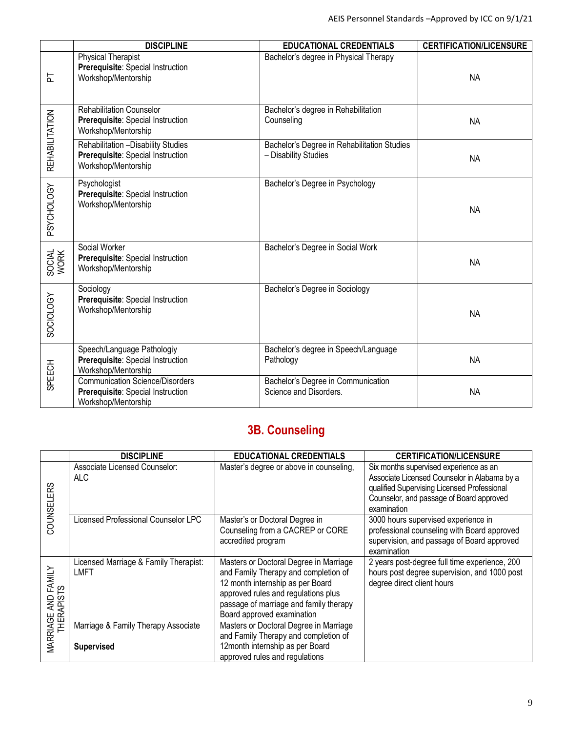|                | <b>DISCIPLINE</b>                                                                                  | <b>EDUCATIONAL CREDENTIALS</b>                                      | <b>CERTIFICATION/LICENSURE</b> |
|----------------|----------------------------------------------------------------------------------------------------|---------------------------------------------------------------------|--------------------------------|
| 눈              | <b>Physical Therapist</b><br>Prerequisite: Special Instruction<br>Workshop/Mentorship              | Bachelor's degree in Physical Therapy                               | <b>NA</b>                      |
|                | <b>Rehabilitation Counselor</b><br>Prerequisite: Special Instruction<br>Workshop/Mentorship        | Bachelor's degree in Rehabilitation<br>Counseling                   | <b>NA</b>                      |
| REHABILITATION | Rehabilitation - Disability Studies<br>Prerequisite: Special Instruction<br>Workshop/Mentorship    | Bachelor's Degree in Rehabilitation Studies<br>- Disability Studies | <b>NA</b>                      |
| PSYCHOLOGY     | Psychologist<br>Prerequisite: Special Instruction<br>Workshop/Mentorship                           | Bachelor's Degree in Psychology                                     | <b>NA</b>                      |
| SOCIAL<br>WORK | Social Worker<br>Prerequisite: Special Instruction<br>Workshop/Mentorship                          | Bachelor's Degree in Social Work                                    | <b>NA</b>                      |
| SOCIOLOGY      | Sociology<br>Prerequisite: Special Instruction<br>Workshop/Mentorship                              | Bachelor's Degree in Sociology                                      | <b>NA</b>                      |
| SPEECH         | Speech/Language Pathologiy<br>Prerequisite: Special Instruction<br>Workshop/Mentorship             | Bachelor's degree in Speech/Language<br>Pathology                   | <b>NA</b>                      |
|                | <b>Communication Science/Disorders</b><br>Prerequisite: Special Instruction<br>Workshop/Mentorship | Bachelor's Degree in Communication<br>Science and Disorders.        | <b>NA</b>                      |

## **3B. Counseling**

|                                   | <b>DISCIPLINE</b>                                        | <b>EDUCATIONAL CREDENTIALS</b>                                                                                                                                                                                                    | <b>CERTIFICATION/LICENSURE</b>                                                                                                                                                                   |
|-----------------------------------|----------------------------------------------------------|-----------------------------------------------------------------------------------------------------------------------------------------------------------------------------------------------------------------------------------|--------------------------------------------------------------------------------------------------------------------------------------------------------------------------------------------------|
| COUNSELERS                        | Associate Licensed Counselor:<br><b>ALC</b>              | Master's degree or above in counseling,                                                                                                                                                                                           | Six months supervised experience as an<br>Associate Licensed Counselor in Alabama by a<br>qualified Supervising Licensed Professional<br>Counselor, and passage of Board approved<br>examination |
|                                   | Licensed Professional Counselor LPC                      | Master's or Doctoral Degree in<br>Counseling from a CACREP or CORE<br>accredited program                                                                                                                                          | 3000 hours supervised experience in<br>professional counseling with Board approved<br>supervision, and passage of Board approved<br>examination                                                  |
| MARRIAGE AND FAMILY<br>THERAPISTS | Licensed Marriage & Family Therapist:<br><b>LMFT</b>     | Masters or Doctoral Degree in Marriage<br>and Family Therapy and completion of<br>12 month internship as per Board<br>approved rules and regulations plus<br>passage of marriage and family therapy<br>Board approved examination | 2 years post-degree full time experience, 200<br>hours post degree supervision, and 1000 post<br>degree direct client hours                                                                      |
|                                   | Marriage & Family Therapy Associate<br><b>Supervised</b> | Masters or Doctoral Degree in Marriage<br>and Family Therapy and completion of<br>12month internship as per Board<br>approved rules and regulations                                                                               |                                                                                                                                                                                                  |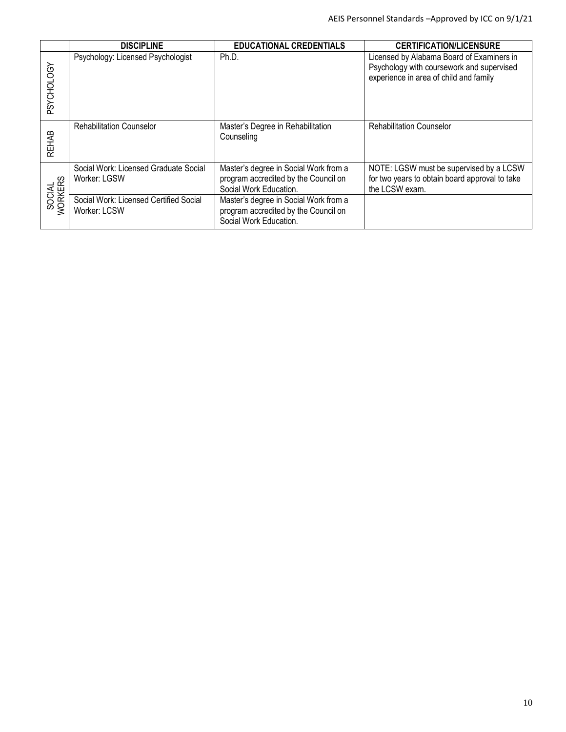|                   | <b>DISCIPLINE</b>                                      | <b>EDUCATIONAL CREDENTIALS</b>                                                                          | <b>CERTIFICATION/LICENSURE</b>                                                                                                   |
|-------------------|--------------------------------------------------------|---------------------------------------------------------------------------------------------------------|----------------------------------------------------------------------------------------------------------------------------------|
| PSYCHOLOGY        | Psychology: Licensed Psychologist                      | Ph.D.                                                                                                   | Licensed by Alabama Board of Examiners in<br>Psychology with coursework and supervised<br>experience in area of child and family |
| <b>REHAB</b>      | <b>Rehabilitation Counselor</b>                        | Master's Degree in Rehabilitation<br>Counseling                                                         | <b>Rehabilitation Counselor</b>                                                                                                  |
| SOCIAL<br>WORKERS | Social Work: Licensed Graduate Social<br>Worker: LGSW  | Master's degree in Social Work from a<br>program accredited by the Council on<br>Social Work Education. | NOTE: LGSW must be supervised by a LCSW<br>for two years to obtain board approval to take<br>the LCSW exam.                      |
|                   | Social Work: Licensed Certified Social<br>Worker: LCSW | Master's degree in Social Work from a<br>program accredited by the Council on<br>Social Work Education. |                                                                                                                                  |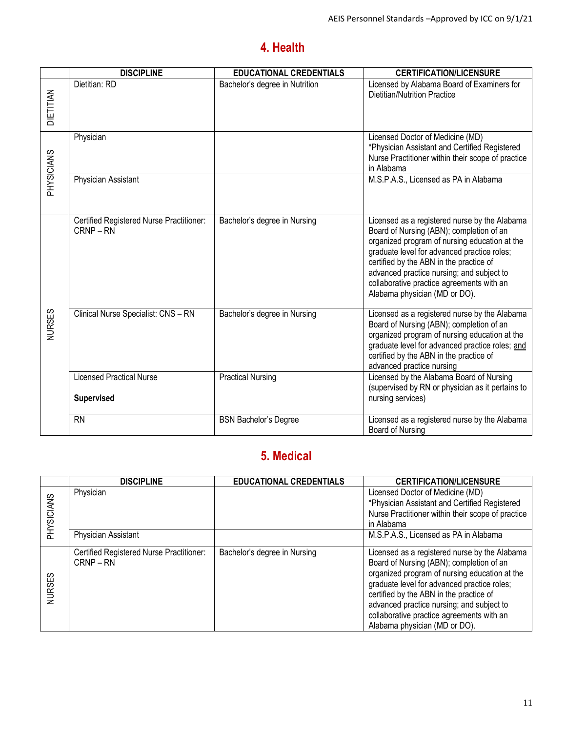## **4. Health**

|               | <b>DISCIPLINE</b>                                    | <b>EDUCATIONAL CREDENTIALS</b> | <b>CERTIFICATION/LICENSURE</b>                                                                                                                                                                                                                                                                                                                                  |
|---------------|------------------------------------------------------|--------------------------------|-----------------------------------------------------------------------------------------------------------------------------------------------------------------------------------------------------------------------------------------------------------------------------------------------------------------------------------------------------------------|
| NRILIEN       | Dietitian: RD                                        | Bachelor's degree in Nutrition | Licensed by Alabama Board of Examiners for<br><b>Dietitian/Nutrition Practice</b>                                                                                                                                                                                                                                                                               |
| PHYSICIANS    | Physician                                            |                                | Licensed Doctor of Medicine (MD)<br>*Physician Assistant and Certified Registered<br>Nurse Practitioner within their scope of practice<br>in Alabama                                                                                                                                                                                                            |
|               | Physician Assistant                                  |                                | M.S.P.A.S., Licensed as PA in Alabama                                                                                                                                                                                                                                                                                                                           |
|               | Certified Registered Nurse Practitioner:<br>CRNP-RN  | Bachelor's degree in Nursing   | Licensed as a registered nurse by the Alabama<br>Board of Nursing (ABN); completion of an<br>organized program of nursing education at the<br>graduate level for advanced practice roles;<br>certified by the ABN in the practice of<br>advanced practice nursing; and subject to<br>collaborative practice agreements with an<br>Alabama physician (MD or DO). |
| <b>NURSES</b> | Clinical Nurse Specialist: CNS - RN                  | Bachelor's degree in Nursing   | Licensed as a registered nurse by the Alabama<br>Board of Nursing (ABN); completion of an<br>organized program of nursing education at the<br>graduate level for advanced practice roles; and<br>certified by the ABN in the practice of<br>advanced practice nursing                                                                                           |
|               | <b>Licensed Practical Nurse</b><br><b>Supervised</b> | <b>Practical Nursing</b>       | Licensed by the Alabama Board of Nursing<br>(supervised by RN or physician as it pertains to<br>nursing services)                                                                                                                                                                                                                                               |
|               | <b>RN</b>                                            | <b>BSN Bachelor's Degree</b>   | Licensed as a registered nurse by the Alabama<br>Board of Nursing                                                                                                                                                                                                                                                                                               |

## **5. Medical**

|               | <b>DISCIPLINE</b>                                   | <b>EDUCATIONAL CREDENTIALS</b> | <b>CERTIFICATION/LICENSURE</b>                                                                                                                                                                                                                                                                                                                                  |
|---------------|-----------------------------------------------------|--------------------------------|-----------------------------------------------------------------------------------------------------------------------------------------------------------------------------------------------------------------------------------------------------------------------------------------------------------------------------------------------------------------|
| PHYSICIANS    | Physician                                           |                                | Licensed Doctor of Medicine (MD)<br>*Physician Assistant and Certified Registered<br>Nurse Practitioner within their scope of practice<br>in Alabama                                                                                                                                                                                                            |
|               | Physician Assistant                                 |                                | M.S.P.A.S., Licensed as PA in Alabama                                                                                                                                                                                                                                                                                                                           |
| <b>NURSES</b> | Certified Registered Nurse Practitioner:<br>CRNP-RN | Bachelor's degree in Nursing   | Licensed as a registered nurse by the Alabama<br>Board of Nursing (ABN); completion of an<br>organized program of nursing education at the<br>graduate level for advanced practice roles;<br>certified by the ABN in the practice of<br>advanced practice nursing; and subject to<br>collaborative practice agreements with an<br>Alabama physician (MD or DO). |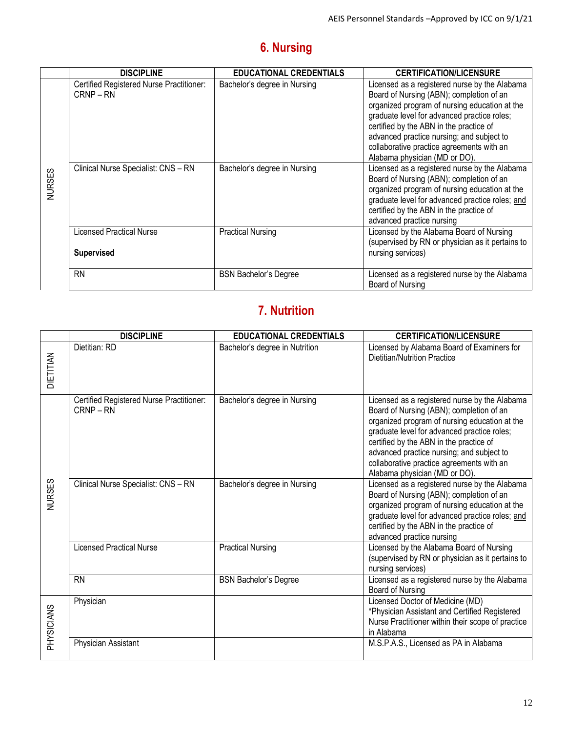## **6. Nursing**

|               | <b>DISCIPLINE</b>                                    | <b>EDUCATIONAL CREDENTIALS</b> | <b>CERTIFICATION/LICENSURE</b>                                                                                                                                                                                                                                                                                                                                  |
|---------------|------------------------------------------------------|--------------------------------|-----------------------------------------------------------------------------------------------------------------------------------------------------------------------------------------------------------------------------------------------------------------------------------------------------------------------------------------------------------------|
|               | Certified Registered Nurse Practitioner:<br>CRNP-RN  | Bachelor's degree in Nursing   | Licensed as a registered nurse by the Alabama<br>Board of Nursing (ABN); completion of an<br>organized program of nursing education at the<br>graduate level for advanced practice roles;<br>certified by the ABN in the practice of<br>advanced practice nursing; and subject to<br>collaborative practice agreements with an<br>Alabama physician (MD or DO). |
| <b>VURSES</b> | Clinical Nurse Specialist: CNS - RN                  | Bachelor's degree in Nursing   | Licensed as a registered nurse by the Alabama<br>Board of Nursing (ABN); completion of an<br>organized program of nursing education at the<br>graduate level for advanced practice roles; and<br>certified by the ABN in the practice of<br>advanced practice nursing                                                                                           |
|               | <b>Licensed Practical Nurse</b><br><b>Supervised</b> | <b>Practical Nursing</b>       | Licensed by the Alabama Board of Nursing<br>(supervised by RN or physician as it pertains to<br>nursing services)                                                                                                                                                                                                                                               |
|               | <b>RN</b>                                            | <b>BSN Bachelor's Degree</b>   | Licensed as a registered nurse by the Alabama<br>Board of Nursing                                                                                                                                                                                                                                                                                               |

## **7. Nutrition**

|                  | <b>DISCIPLINE</b>                                       | <b>EDUCATIONAL CREDENTIALS</b> | <b>CERTIFICATION/LICENSURE</b>                                                                                                                                                                                                                                                                                                                                  |
|------------------|---------------------------------------------------------|--------------------------------|-----------------------------------------------------------------------------------------------------------------------------------------------------------------------------------------------------------------------------------------------------------------------------------------------------------------------------------------------------------------|
| <b>DIETITIAN</b> | Dietitian: RD                                           | Bachelor's degree in Nutrition | Licensed by Alabama Board of Examiners for<br>Dietitian/Nutrition Practice                                                                                                                                                                                                                                                                                      |
|                  | Certified Registered Nurse Practitioner:<br>$CRNP - RN$ | Bachelor's degree in Nursing   | Licensed as a registered nurse by the Alabama<br>Board of Nursing (ABN); completion of an<br>organized program of nursing education at the<br>graduate level for advanced practice roles;<br>certified by the ABN in the practice of<br>advanced practice nursing; and subject to<br>collaborative practice agreements with an<br>Alabama physician (MD or DO). |
| <b>NURSES</b>    | Clinical Nurse Specialist: CNS - RN                     | Bachelor's degree in Nursing   | Licensed as a registered nurse by the Alabama<br>Board of Nursing (ABN); completion of an<br>organized program of nursing education at the<br>graduate level for advanced practice roles; and<br>certified by the ABN in the practice of<br>advanced practice nursing                                                                                           |
|                  | <b>Licensed Practical Nurse</b>                         | <b>Practical Nursing</b>       | Licensed by the Alabama Board of Nursing<br>(supervised by RN or physician as it pertains to<br>nursing services)                                                                                                                                                                                                                                               |
|                  | <b>RN</b>                                               | <b>BSN Bachelor's Degree</b>   | Licensed as a registered nurse by the Alabama<br>Board of Nursing                                                                                                                                                                                                                                                                                               |
| <b>SNAIOISAH</b> | Physician                                               |                                | Licensed Doctor of Medicine (MD)<br>*Physician Assistant and Certified Registered<br>Nurse Practitioner within their scope of practice<br>in Alabama                                                                                                                                                                                                            |
|                  | Physician Assistant                                     |                                | M.S.P.A.S., Licensed as PA in Alabama                                                                                                                                                                                                                                                                                                                           |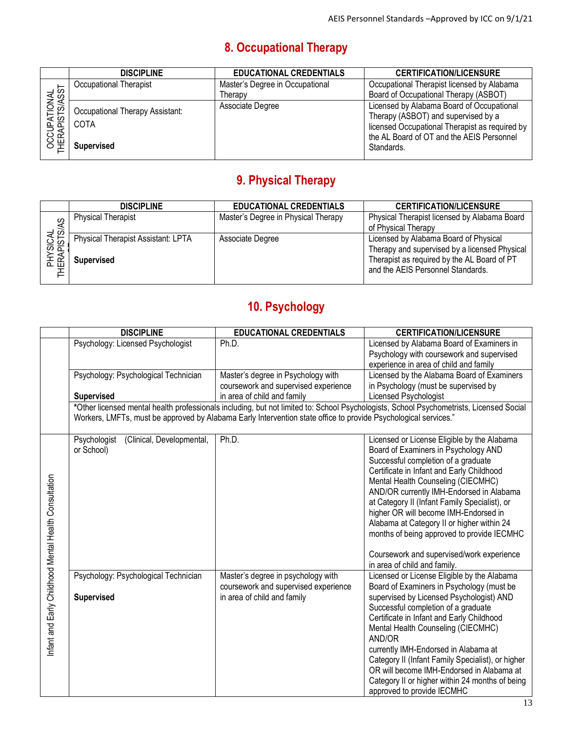## **8. Occupational Therapy**

|                                | <b>DISCIPLINE</b>                                            | <b>EDUCATIONAL CREDENTIALS</b>  | <b>CERTIFICATION/LICENSURE</b>                                                                                                                                                                |
|--------------------------------|--------------------------------------------------------------|---------------------------------|-----------------------------------------------------------------------------------------------------------------------------------------------------------------------------------------------|
|                                | Occupational Therapist                                       | Master's Degree in Occupational | Occupational Therapist licensed by Alabama                                                                                                                                                    |
|                                |                                                              | Therapy                         | Board of Occupational Therapy (ASBOT)                                                                                                                                                         |
| OCCUPATIONAL<br>HERAPISTS/ASST | Occupational Therapy Assistant:<br>COTA<br><b>Supervised</b> | Associate Degree                | Licensed by Alabama Board of Occupational<br>Therapy (ASBOT) and supervised by a<br>licensed Occupational Therapist as required by<br>the AL Board of OT and the AEIS Personnel<br>Standards. |

## **9. Physical Therapy**

|                           | <b>DISCIPLINE</b>                                       | <b>EDUCATIONAL CREDENTIALS</b>      | <b>CERTIFICATION/LICENSURE</b>                                                                                                                                             |
|---------------------------|---------------------------------------------------------|-------------------------------------|----------------------------------------------------------------------------------------------------------------------------------------------------------------------------|
|                           | <b>Physical Therapist</b>                               | Master's Degree in Physical Therapy | Physical Therapist licensed by Alabama Board<br>of Physical Therapy                                                                                                        |
| PHYSICAL<br>THERAPISTS/AS | Physical Therapist Assistant: LPTA<br><b>Supervised</b> | Associate Degree                    | Licensed by Alabama Board of Physical<br>Therapy and supervised by a licensed Physical<br>Therapist as required by the AL Board of PT<br>and the AEIS Personnel Standards. |

## **10. Psychology**

|                                                       | <b>DISCIPLINE</b>                                       | <b>EDUCATIONAL CREDENTIALS</b>                                                                                  | <b>CERTIFICATION/LICENSURE</b>                                                                                                                                                                                                                                                                                                                                                                                                                                                                                               |
|-------------------------------------------------------|---------------------------------------------------------|-----------------------------------------------------------------------------------------------------------------|------------------------------------------------------------------------------------------------------------------------------------------------------------------------------------------------------------------------------------------------------------------------------------------------------------------------------------------------------------------------------------------------------------------------------------------------------------------------------------------------------------------------------|
|                                                       | Psychology: Licensed Psychologist                       | Ph.D.                                                                                                           | Licensed by Alabama Board of Examiners in<br>Psychology with coursework and supervised<br>experience in area of child and family                                                                                                                                                                                                                                                                                                                                                                                             |
|                                                       | Psychology: Psychological Technician                    | Master's degree in Psychology with<br>coursework and supervised experience<br>in area of child and family       | Licensed by the Alabama Board of Examiners<br>in Psychology (must be supervised by<br>Licensed Psychologist                                                                                                                                                                                                                                                                                                                                                                                                                  |
|                                                       | <b>Supervised</b>                                       | Workers, LMFTs, must be approved by Alabama Early Intervention state office to provide Psychological services." | *Other licensed mental health professionals including, but not limited to: School Psychologists, School Psychometrists, Licensed Social                                                                                                                                                                                                                                                                                                                                                                                      |
| Infant and Early Childhood Mental Health Consultation | (Clinical, Developmental,<br>Psychologist<br>or School) | Ph.D.                                                                                                           | Licensed or License Eligible by the Alabama<br>Board of Examiners in Psychology AND<br>Successful completion of a graduate<br>Certificate in Infant and Early Childhood<br>Mental Health Counseling (CIECMHC)<br>AND/OR currently IMH-Endorsed in Alabama<br>at Category II (Infant Family Specialist), or<br>higher OR will become IMH-Endorsed in<br>Alabama at Category II or higher within 24<br>months of being approved to provide IECMHC<br>Coursework and supervised/work experience<br>in area of child and family. |
|                                                       | Psychology: Psychological Technician                    | Master's degree in psychology with<br>coursework and supervised experience                                      | Licensed or License Eligible by the Alabama<br>Board of Examiners in Psychology (must be                                                                                                                                                                                                                                                                                                                                                                                                                                     |
|                                                       | <b>Supervised</b>                                       | in area of child and family                                                                                     | supervised by Licensed Psychologist) AND<br>Successful completion of a graduate<br>Certificate in Infant and Early Childhood<br>Mental Health Counseling (CIECMHC)<br>AND/OR<br>currently IMH-Endorsed in Alabama at<br>Category II (Infant Family Specialist), or higher<br>OR will become IMH-Endorsed in Alabama at<br>Category II or higher within 24 months of being<br>approved to provide IECMHC                                                                                                                      |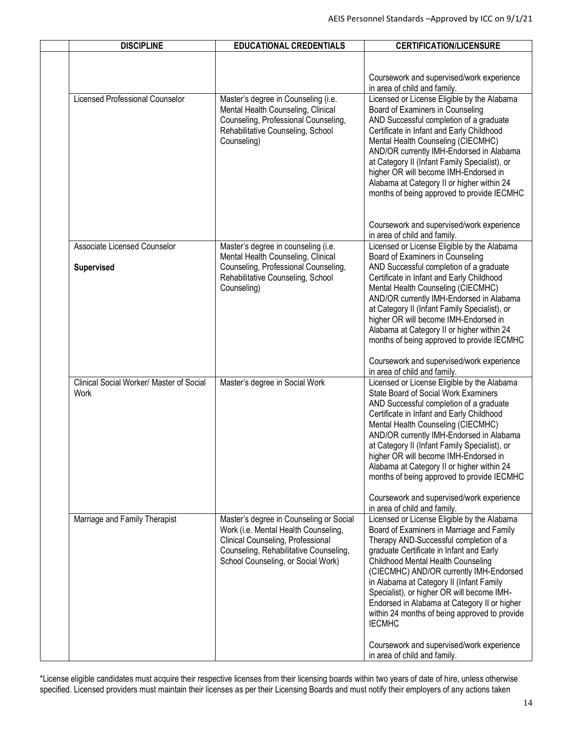| <b>DISCIPLINE</b>                                 | <b>EDUCATIONAL CREDENTIALS</b>                                                                                                                                        | <b>CERTIFICATION/LICENSURE</b>                                                                                                                                                                                                                                                                                                                                                                                                                      |
|---------------------------------------------------|-----------------------------------------------------------------------------------------------------------------------------------------------------------------------|-----------------------------------------------------------------------------------------------------------------------------------------------------------------------------------------------------------------------------------------------------------------------------------------------------------------------------------------------------------------------------------------------------------------------------------------------------|
|                                                   |                                                                                                                                                                       | Coursework and supervised/work experience<br>in area of child and family.                                                                                                                                                                                                                                                                                                                                                                           |
| Licensed Professional Counselor                   | Master's degree in Counseling (i.e.<br>Mental Health Counseling, Clinical<br>Counseling, Professional Counseling,<br>Rehabilitative Counseling, School<br>Counseling) | Licensed or License Eligible by the Alabama<br>Board of Examiners in Counseling<br>AND Successful completion of a graduate<br>Certificate in Infant and Early Childhood<br>Mental Health Counseling (CIECMHC)<br>AND/OR currently IMH-Endorsed in Alabama<br>at Category II (Infant Family Specialist), or<br>higher OR will become IMH-Endorsed in<br>Alabama at Category II or higher within 24<br>months of being approved to provide IECMHC     |
|                                                   |                                                                                                                                                                       | Coursework and supervised/work experience<br>in area of child and family.                                                                                                                                                                                                                                                                                                                                                                           |
| Associate Licensed Counselor<br><b>Supervised</b> | Master's degree in counseling (i.e.<br>Mental Health Counseling, Clinical<br>Counseling, Professional Counseling,<br>Rehabilitative Counseling, School<br>Counseling) | Licensed or License Eligible by the Alabama<br>Board of Examiners in Counseling<br>AND Successful completion of a graduate<br>Certificate in Infant and Early Childhood<br>Mental Health Counseling (CIECMHC)                                                                                                                                                                                                                                       |
|                                                   |                                                                                                                                                                       | AND/OR currently IMH-Endorsed in Alabama<br>at Category II (Infant Family Specialist), or<br>higher OR will become IMH-Endorsed in<br>Alabama at Category II or higher within 24<br>months of being approved to provide IECMHC                                                                                                                                                                                                                      |
|                                                   |                                                                                                                                                                       | Coursework and supervised/work experience<br>in area of child and family.                                                                                                                                                                                                                                                                                                                                                                           |
| Clinical Social Worker/ Master of Social<br>Work  | Master's degree in Social Work                                                                                                                                        | Licensed or License Eligible by the Alabama<br>State Board of Social Work Examiners<br>AND Successful completion of a graduate<br>Certificate in Infant and Early Childhood<br>Mental Health Counseling (CIECMHC)<br>AND/OR currently IMH-Endorsed in Alabama<br>at Category II (Infant Family Specialist), or<br>higher OR will become IMH-Endorsed in<br>Alabama at Category II or higher within 24<br>months of being approved to provide IECMHC |
| Marriage and Family Therapist                     | Master's degree in Counseling or Social                                                                                                                               | Coursework and supervised/work experience<br>in area of child and family.<br>Licensed or License Eligible by the Alabama                                                                                                                                                                                                                                                                                                                            |
|                                                   | Work (i.e. Mental Health Counseling,<br>Clinical Counseling, Professional<br>Counseling, Rehabilitative Counseling,<br>School Counseling, or Social Work)             | Board of Examiners in Marriage and Family<br>Therapy AND-Successful completion of a<br>graduate Certificate in Infant and Early<br>Childhood Mental Health Counseling<br>(CIECMHC) AND/OR currently IMH-Endorsed<br>in Alabama at Category II (Infant Family<br>Specialist), or higher OR will become IMH-<br>Endorsed in Alabama at Category II or higher<br>within 24 months of being approved to provide<br><b>IECMHC</b>                        |
|                                                   |                                                                                                                                                                       | Coursework and supervised/work experience<br>in area of child and family.                                                                                                                                                                                                                                                                                                                                                                           |

\*License eligible candidates must acquire their respective licenses from their licensing boards within two years of date of hire, unless otherwise specified. Licensed providers must maintain their licenses as per their Licensing Boards and must notify their employers of any actions taken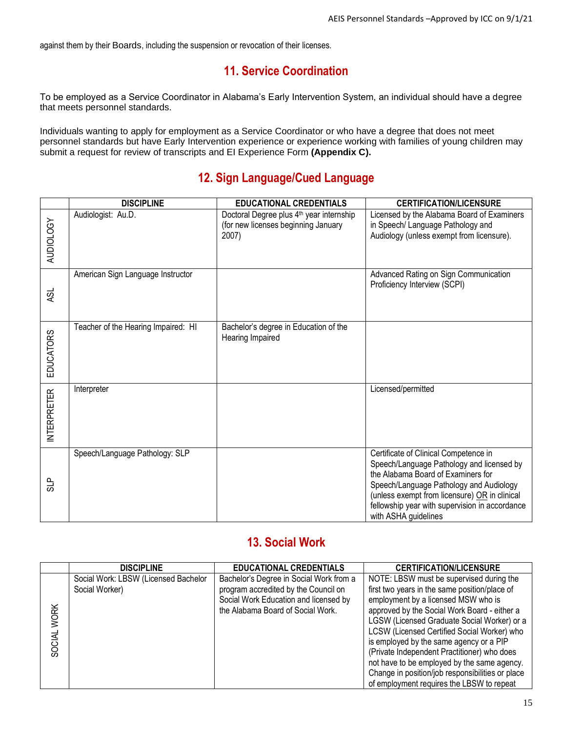against them by their Boards, including the suspension or revocation of their licenses.

#### **11. Service Coordination**

To be employed as a Service Coordinator in Alabama's Early Intervention System, an individual should have a degree that meets personnel standards.

Individuals wanting to apply for employment as a Service Coordinator or who have a degree that does not meet personnel standards but have Early Intervention experience or experience working with families of young children may submit a request for review of transcripts and EI Experience Form **(Appendix C).**

### **12. Sign Language/Cued Language**

|                  | <b>DISCIPLINE</b>                   | <b>EDUCATIONAL CREDENTIALS</b>                                                                       | <b>CERTIFICATION/LICENSURE</b>                                                                                                                                                                                                                                                                 |
|------------------|-------------------------------------|------------------------------------------------------------------------------------------------------|------------------------------------------------------------------------------------------------------------------------------------------------------------------------------------------------------------------------------------------------------------------------------------------------|
| AUDIOLOGY        | Audiologist: Au.D.                  | Doctoral Degree plus 4 <sup>th</sup> year internship<br>(for new licenses beginning January<br>2007) | Licensed by the Alabama Board of Examiners<br>in Speech/ Language Pathology and<br>Audiology (unless exempt from licensure).                                                                                                                                                                   |
| <b>ASL</b>       | American Sign Language Instructor   |                                                                                                      | Advanced Rating on Sign Communication<br>Proficiency Interview (SCPI)                                                                                                                                                                                                                          |
| <b>EDUCATORS</b> | Teacher of the Hearing Impaired: HI | Bachelor's degree in Education of the<br>Hearing Impaired                                            |                                                                                                                                                                                                                                                                                                |
| NTERPRETER       | Interpreter                         |                                                                                                      | Licensed/permitted                                                                                                                                                                                                                                                                             |
| SLP              | Speech/Language Pathology: SLP      |                                                                                                      | Certificate of Clinical Competence in<br>Speech/Language Pathology and licensed by<br>the Alabama Board of Examiners for<br>Speech/Language Pathology and Audiology<br>(unless exempt from licensure) OR in clinical<br>fellowship year with supervision in accordance<br>with ASHA guidelines |

### **13. Social Work**

|             | <b>DISCIPLINE</b>                                      | <b>EDUCATIONAL CREDENTIALS</b>                                                                                                                                | <b>CERTIFICATION/LICENSURE</b>                                                                                                                                                                                                                                                        |
|-------------|--------------------------------------------------------|---------------------------------------------------------------------------------------------------------------------------------------------------------------|---------------------------------------------------------------------------------------------------------------------------------------------------------------------------------------------------------------------------------------------------------------------------------------|
| <b>WORK</b> | Social Work: LBSW (Licensed Bachelor<br>Social Worker) | Bachelor's Degree in Social Work from a<br>program accredited by the Council on<br>Social Work Education and licensed by<br>the Alabama Board of Social Work. | NOTE: LBSW must be supervised during the<br>first two years in the same position/place of<br>employment by a licensed MSW who is<br>approved by the Social Work Board - either a<br>LGSW (Licensed Graduate Social Worker) or a                                                       |
| SOCIAL      |                                                        |                                                                                                                                                               | LCSW (Licensed Certified Social Worker) who<br>is employed by the same agency or a PIP<br>(Private Independent Practitioner) who does<br>not have to be employed by the same agency.<br>Change in position/job responsibilities or place<br>of employment requires the LBSW to repeat |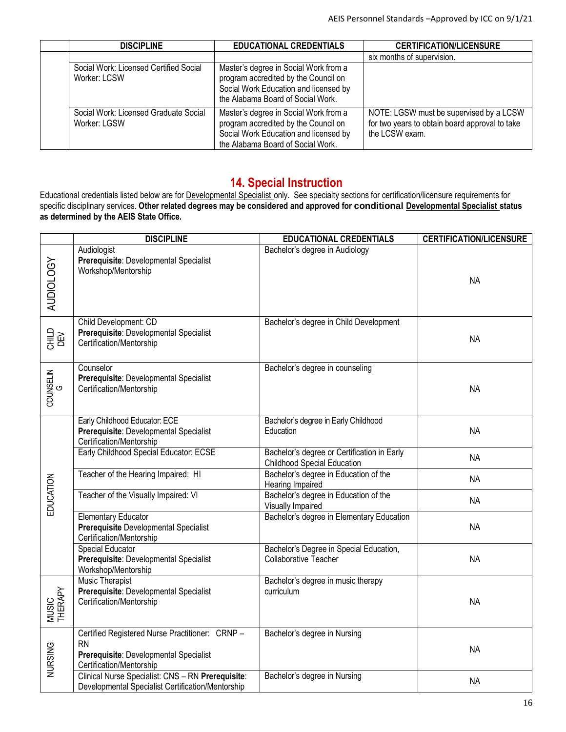| <b>DISCIPLINE</b>                                      | <b>EDUCATIONAL CREDENTIALS</b>                                                                                                                              | <b>CERTIFICATION/LICENSURE</b>                                                                              |
|--------------------------------------------------------|-------------------------------------------------------------------------------------------------------------------------------------------------------------|-------------------------------------------------------------------------------------------------------------|
|                                                        |                                                                                                                                                             | six months of supervision.                                                                                  |
| Social Work: Licensed Certified Social<br>Worker: LCSW | Master's degree in Social Work from a<br>program accredited by the Council on<br>Social Work Education and licensed by<br>the Alabama Board of Social Work. |                                                                                                             |
| Social Work: Licensed Graduate Social<br>Worker: LGSW  | Master's degree in Social Work from a<br>program accredited by the Council on<br>Social Work Education and licensed by<br>the Alabama Board of Social Work. | NOTE: LGSW must be supervised by a LCSW<br>for two years to obtain board approval to take<br>the LCSW exam. |

#### **14. Special Instruction**

Educational credentials listed below are for Developmental Specialist only. See specialty sections for certification/licensure requirements for specific disciplinary services. **Other related degrees may be considered and approved for conditional Developmental Specialist status as determined by the AEIS State Office.**

|                  | <b>DISCIPLINE</b>                                                                                                                 | <b>EDUCATIONAL CREDENTIALS</b>                                                    | <b>CERTIFICATION/LICENSURE</b> |
|------------------|-----------------------------------------------------------------------------------------------------------------------------------|-----------------------------------------------------------------------------------|--------------------------------|
| <b>AUDIOLOGY</b> | Audiologist<br>Prerequisite: Developmental Specialist<br>Workshop/Mentorship                                                      | Bachelor's degree in Audiology                                                    | <b>NA</b>                      |
| 오<br>이 나다        | Child Development: CD<br>Prerequisite: Developmental Specialist<br>Certification/Mentorship                                       | Bachelor's degree in Child Development                                            | <b>NA</b>                      |
| COUNSELIN        | Counselor<br>Prerequisite: Developmental Specialist<br>Certification/Mentorship                                                   | Bachelor's degree in counseling                                                   | <b>NA</b>                      |
|                  | Early Childhood Educator: ECE<br>Prerequisite: Developmental Specialist<br>Certification/Mentorship                               | Bachelor's degree in Early Childhood<br>Education                                 | <b>NA</b>                      |
|                  | Early Childhood Special Educator: ECSE                                                                                            | Bachelor's degree or Certification in Early<br><b>Childhood Special Education</b> | <b>NA</b>                      |
|                  | Teacher of the Hearing Impaired: HI                                                                                               | Bachelor's degree in Education of the<br>Hearing Impaired                         | <b>NA</b>                      |
| EDUCATION        | Teacher of the Visually Impaired: VI                                                                                              | Bachelor's degree in Education of the<br>Visually Impaired                        | <b>NA</b>                      |
|                  | <b>Elementary Educator</b><br>Prerequisite Developmental Specialist<br>Certification/Mentorship                                   | Bachelor's degree in Elementary Education                                         | <b>NA</b>                      |
|                  | Special Educator<br>Prerequisite: Developmental Specialist<br>Workshop/Mentorship                                                 | Bachelor's Degree in Special Education,<br>Collaborative Teacher                  | <b>NA</b>                      |
| MUSIC<br>THERAPY | <b>Music Therapist</b><br>Prerequisite: Developmental Specialist<br>Certification/Mentorship                                      | Bachelor's degree in music therapy<br>curriculum                                  | <b>NA</b>                      |
| NURSING          | Certified Registered Nurse Practitioner: CRNP-<br><b>RN</b><br>Prerequisite: Developmental Specialist<br>Certification/Mentorship | Bachelor's degree in Nursing                                                      | <b>NA</b>                      |
|                  | Clinical Nurse Specialist: CNS - RN Prerequisite:<br>Developmental Specialist Certification/Mentorship                            | Bachelor's degree in Nursing                                                      | <b>NA</b>                      |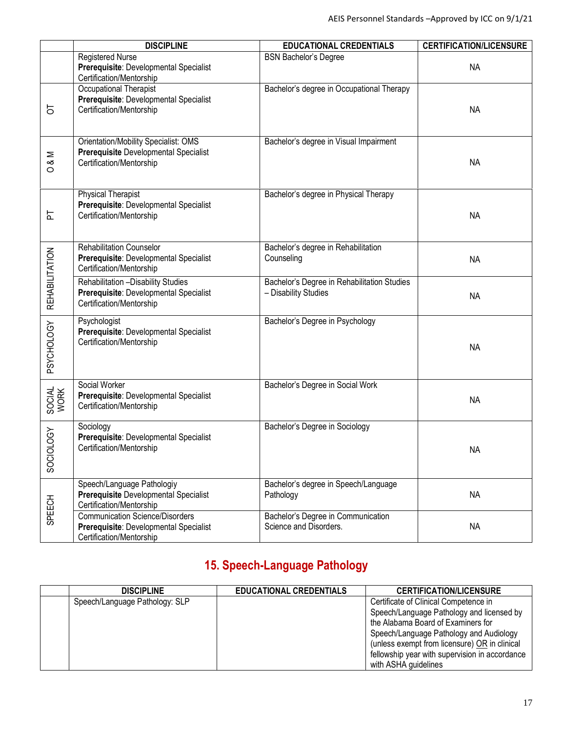|                          | <b>DISCIPLINE</b>                                                                                                | <b>EDUCATIONAL CREDENTIALS</b>                                      | <b>CERTIFICATION/LICENSURE</b> |
|--------------------------|------------------------------------------------------------------------------------------------------------------|---------------------------------------------------------------------|--------------------------------|
|                          | <b>Registered Nurse</b><br>Prerequisite: Developmental Specialist<br>Certification/Mentorship                    | <b>BSN Bachelor's Degree</b>                                        | <b>NA</b>                      |
| 5                        | Occupational Therapist<br>Prerequisite: Developmental Specialist<br>Certification/Mentorship                     | Bachelor's degree in Occupational Therapy                           | <b>NA</b>                      |
| $\frac{8}{3}$<br>$\circ$ | <b>Orientation/Mobility Specialist: OMS</b><br>Prerequisite Developmental Specialist<br>Certification/Mentorship | Bachelor's degree in Visual Impairment                              | <b>NA</b>                      |
| 는                        | <b>Physical Therapist</b><br>Prerequisite: Developmental Specialist<br>Certification/Mentorship                  | Bachelor's degree in Physical Therapy                               | <b>NA</b>                      |
|                          | <b>Rehabilitation Counselor</b><br>Prerequisite: Developmental Specialist<br>Certification/Mentorship            | Bachelor's degree in Rehabilitation<br>Counseling                   | <b>NA</b>                      |
| REHABILITATION           | Rehabilitation - Disability Studies<br>Prerequisite: Developmental Specialist<br>Certification/Mentorship        | Bachelor's Degree in Rehabilitation Studies<br>- Disability Studies | <b>NA</b>                      |
| PSYCHOLOGY               | Psychologist<br>Prerequisite: Developmental Specialist<br>Certification/Mentorship                               | Bachelor's Degree in Psychology                                     | <b>NA</b>                      |
| SOCIAL<br>WORK           | Social Worker<br>Prerequisite: Developmental Specialist<br>Certification/Mentorship                              | Bachelor's Degree in Social Work                                    | <b>NA</b>                      |
| SOCIOLOGY                | Sociology<br>Prerequisite: Developmental Specialist<br>Certification/Mentorship                                  | Bachelor's Degree in Sociology                                      | <b>NA</b>                      |
| SPEECH                   | Speech/Language Pathologiy<br>Prerequisite Developmental Specialist<br>Certification/Mentorship                  | Bachelor's degree in Speech/Language<br>Pathology                   | <b>NA</b>                      |
|                          | <b>Communication Science/Disorders</b><br>Prerequisite: Developmental Specialist<br>Certification/Mentorship     | Bachelor's Degree in Communication<br>Science and Disorders.        | <b>NA</b>                      |

## **15. Speech-Language Pathology**

| <b>DISCIPLINE</b>              | <b>EDUCATIONAL CREDENTIALS</b> | <b>CERTIFICATION/LICENSURE</b>                 |
|--------------------------------|--------------------------------|------------------------------------------------|
| Speech/Language Pathology: SLP |                                | Certificate of Clinical Competence in          |
|                                |                                | Speech/Language Pathology and licensed by      |
|                                |                                | the Alabama Board of Examiners for             |
|                                |                                | Speech/Language Pathology and Audiology        |
|                                |                                | (unless exempt from licensure) OR in clinical  |
|                                |                                | fellowship year with supervision in accordance |
|                                |                                | with ASHA guidelines                           |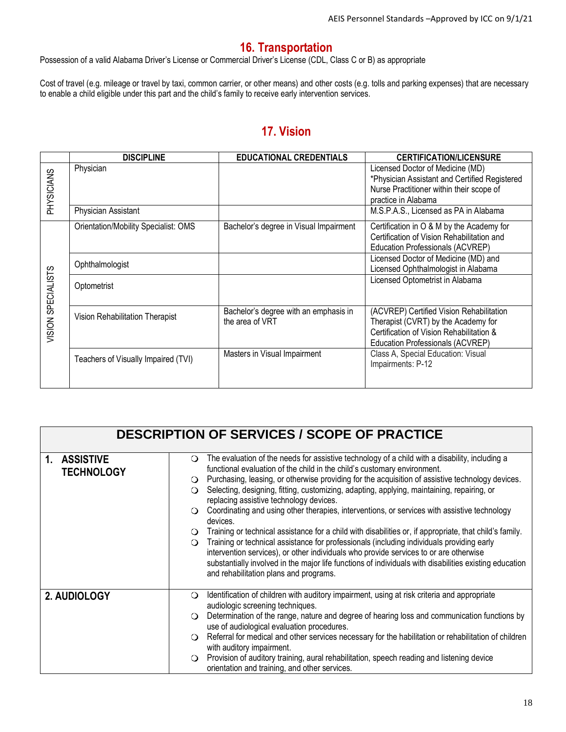#### **16. Transportation**

Possession of a valid Alabama Driver's License or Commercial Driver's License (CDL, Class C or B) as appropriate

Cost of travel (e.g. mileage or travel by taxi, common carrier, or other means) and other costs (e.g. tolls and parking expenses) that are necessary to enable a child eligible under this part and the child's family to receive early intervention services.

#### **17. Vision**

|                    | <b>DISCIPLINE</b>                    | <b>EDUCATIONAL CREDENTIALS</b>         | <b>CERTIFICATION/LICENSURE</b>                                                    |
|--------------------|--------------------------------------|----------------------------------------|-----------------------------------------------------------------------------------|
| PHYSICIANS         | Physician                            |                                        | Licensed Doctor of Medicine (MD)<br>*Physician Assistant and Certified Registered |
|                    |                                      |                                        | Nurse Practitioner within their scope of<br>practice in Alabama                   |
|                    | Physician Assistant                  |                                        | M.S.P.A.S., Licensed as PA in Alabama                                             |
|                    | Orientation/Mobility Specialist: OMS | Bachelor's degree in Visual Impairment | Certification in O & M by the Academy for                                         |
|                    |                                      |                                        | Certification of Vision Rehabilitation and                                        |
|                    |                                      |                                        | Education Professionals (ACVREP)                                                  |
|                    | Ophthalmologist                      |                                        | Licensed Doctor of Medicine (MD) and                                              |
|                    |                                      |                                        | Licensed Ophthalmologist in Alabama                                               |
| VISION SPECIALISTS | Optometrist                          |                                        | Licensed Optometrist in Alabama                                                   |
|                    |                                      | Bachelor's degree with an emphasis in  | (ACVREP) Certified Vision Rehabilitation                                          |
|                    | Vision Rehabilitation Therapist      | the area of VRT                        | Therapist (CVRT) by the Academy for                                               |
|                    |                                      |                                        | Certification of Vision Rehabilitation &                                          |
|                    |                                      |                                        | Education Professionals (ACVREP)                                                  |
|                    | Teachers of Visually Impaired (TVI)  | Masters in Visual Impairment           | Class A, Special Education: Visual<br>Impairments: P-12                           |
|                    |                                      |                                        |                                                                                   |

|                                   | <b>DESCRIPTION OF SERVICES / SCOPE OF PRACTICE</b>                                                                                                                                                                                                                                                                                                                                                                                                                                                                                                                                                                                                                                                                                                                                                                                                                                                                                                                                                                                |
|-----------------------------------|-----------------------------------------------------------------------------------------------------------------------------------------------------------------------------------------------------------------------------------------------------------------------------------------------------------------------------------------------------------------------------------------------------------------------------------------------------------------------------------------------------------------------------------------------------------------------------------------------------------------------------------------------------------------------------------------------------------------------------------------------------------------------------------------------------------------------------------------------------------------------------------------------------------------------------------------------------------------------------------------------------------------------------------|
| 1. ASSISTIVE<br><b>TECHNOLOGY</b> | The evaluation of the needs for assistive technology of a child with a disability, including a<br>$\circ$<br>functional evaluation of the child in the child's customary environment.<br>O Purchasing, leasing, or otherwise providing for the acquisition of assistive technology devices.<br>○ Selecting, designing, fitting, customizing, adapting, applying, maintaining, repairing, or<br>replacing assistive technology devices.<br>Coordinating and using other therapies, interventions, or services with assistive technology<br>$\Omega$<br>devices.<br>○ Training or technical assistance for a child with disabilities or, if appropriate, that child's family.<br>Training or technical assistance for professionals (including individuals providing early<br>$\Omega$<br>intervention services), or other individuals who provide services to or are otherwise<br>substantially involved in the major life functions of individuals with disabilities existing education<br>and rehabilitation plans and programs. |
| 2. AUDIOLOGY                      | Identification of children with auditory impairment, using at risk criteria and appropriate<br>$\circ$<br>audiologic screening techniques.<br>Determination of the range, nature and degree of hearing loss and communication functions by<br>$\circ$<br>use of audiological evaluation procedures.<br>○ Referral for medical and other services necessary for the habilitation or rehabilitation of children<br>with auditory impairment.<br>Provision of auditory training, aural rehabilitation, speech reading and listening device<br>$\circ$<br>orientation and training, and other services.                                                                                                                                                                                                                                                                                                                                                                                                                               |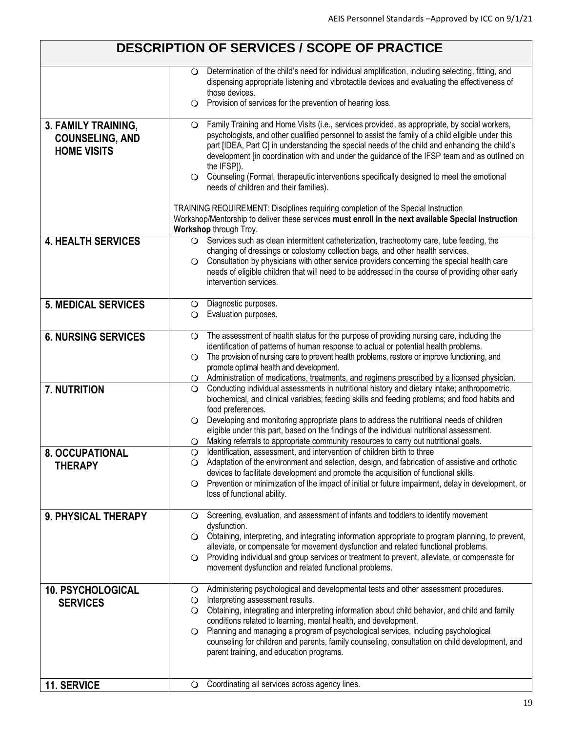|                                                                     | <b>DESCRIPTION OF SERVICES / SCOPE OF PRACTICE</b>                                                                                                                                                                                                                                                                                                                                                                                                                                                                                                                                                                                                                                                                                                                                         |
|---------------------------------------------------------------------|--------------------------------------------------------------------------------------------------------------------------------------------------------------------------------------------------------------------------------------------------------------------------------------------------------------------------------------------------------------------------------------------------------------------------------------------------------------------------------------------------------------------------------------------------------------------------------------------------------------------------------------------------------------------------------------------------------------------------------------------------------------------------------------------|
|                                                                     | Determination of the child's need for individual amplification, including selecting, fitting, and<br>$\circ$<br>dispensing appropriate listening and vibrotactile devices and evaluating the effectiveness of<br>those devices.<br>Provision of services for the prevention of hearing loss.<br>$\circ$                                                                                                                                                                                                                                                                                                                                                                                                                                                                                    |
| 3. FAMILY TRAINING,<br><b>COUNSELING, AND</b><br><b>HOME VISITS</b> | Family Training and Home Visits (i.e., services provided, as appropriate, by social workers,<br>$\circ$<br>psychologists, and other qualified personnel to assist the family of a child eligible under this<br>part [IDEA, Part C] in understanding the special needs of the child and enhancing the child's<br>development [in coordination with and under the guidance of the IFSP team and as outlined on<br>the IFSP]).<br>○ Counseling (Formal, therapeutic interventions specifically designed to meet the emotional<br>needs of children and their families).<br>TRAINING REQUIREMENT: Disciplines requiring completion of the Special Instruction<br>Workshop/Mentorship to deliver these services must enroll in the next available Special Instruction<br>Workshop through Troy. |
| <b>4. HEALTH SERVICES</b>                                           | O Services such as clean intermittent catheterization, tracheotomy care, tube feeding, the<br>changing of dressings or colostomy collection bags, and other health services.<br>Consultation by physicians with other service providers concerning the special health care<br>$\circ$<br>needs of eligible children that will need to be addressed in the course of providing other early<br>intervention services.                                                                                                                                                                                                                                                                                                                                                                        |
| <b>5. MEDICAL SERVICES</b>                                          | Diagnostic purposes.<br>O.<br><b>O</b> Evaluation purposes.                                                                                                                                                                                                                                                                                                                                                                                                                                                                                                                                                                                                                                                                                                                                |
| <b>6. NURSING SERVICES</b>                                          | The assessment of health status for the purpose of providing nursing care, including the<br>$\circ$<br>identification of patterns of human response to actual or potential health problems.<br>The provision of nursing care to prevent health problems, restore or improve functioning, and<br>$\circ$<br>promote optimal health and development.<br>O Administration of medications, treatments, and regimens prescribed by a licensed physician.                                                                                                                                                                                                                                                                                                                                        |
| <b>7. NUTRITION</b>                                                 | Conducting individual assessments in nutritional history and dietary intake; anthropometric,<br>$\circ$<br>biochemical, and clinical variables; feeding skills and feeding problems; and food habits and<br>food preferences.<br>$\bigcirc$ Developing and monitoring appropriate plans to address the nutritional needs of children<br>eligible under this part, based on the findings of the individual nutritional assessment.<br>Making referrals to appropriate community resources to carry out nutritional goals.<br>O.                                                                                                                                                                                                                                                             |
| 8. OCCUPATIONAL<br><b>THERAPY</b>                                   | Identification, assessment, and intervention of children birth to three<br>$\circ$<br>O Adaptation of the environment and selection, design, and fabrication of assistive and orthotic<br>devices to facilitate development and promote the acquisition of functional skills.<br>Prevention or minimization of the impact of initial or future impairment, delay in development, or<br>$\circ$<br>loss of functional ability.                                                                                                                                                                                                                                                                                                                                                              |
| 9. PHYSICAL THERAPY                                                 | Screening, evaluation, and assessment of infants and toddlers to identify movement<br>O.<br>dysfunction.<br>O Obtaining, interpreting, and integrating information appropriate to program planning, to prevent,<br>alleviate, or compensate for movement dysfunction and related functional problems.<br>Providing individual and group services or treatment to prevent, alleviate, or compensate for<br>$\circ$<br>movement dysfunction and related functional problems.                                                                                                                                                                                                                                                                                                                 |
| 10. PSYCHOLOGICAL<br><b>SERVICES</b>                                | Administering psychological and developmental tests and other assessment procedures.<br>O<br>Interpreting assessment results.<br>$\circ$<br>Obtaining, integrating and interpreting information about child behavior, and child and family<br>$\circ$<br>conditions related to learning, mental health, and development.<br>Planning and managing a program of psychological services, including psychological<br>O<br>counseling for children and parents, family counseling, consultation on child development, and<br>parent training, and education programs.                                                                                                                                                                                                                          |
| 11. SERVICE                                                         | Coordinating all services across agency lines.<br>$\circ$                                                                                                                                                                                                                                                                                                                                                                                                                                                                                                                                                                                                                                                                                                                                  |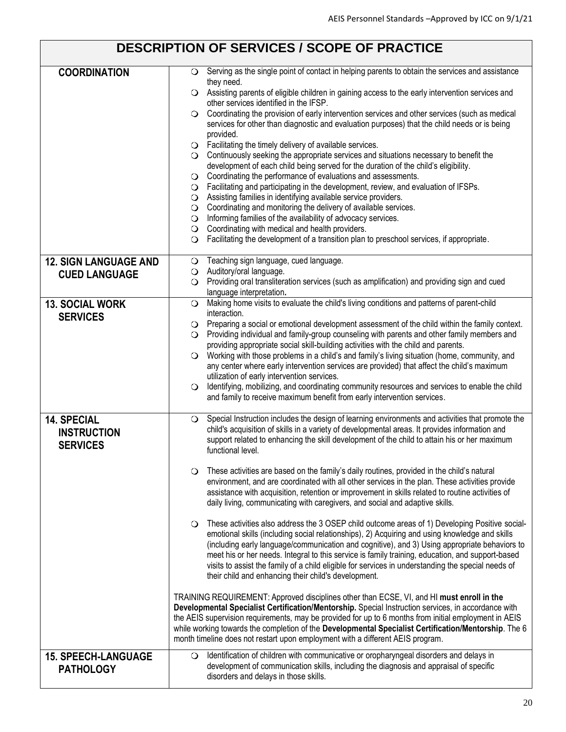## **DESCRIPTION OF SERVICES / SCOPE OF PRACTICE**

| <b>COORDINATION</b>          | Serving as the single point of contact in helping parents to obtain the services and assistance<br>$\circ$<br>they need.                                                                                              |  |  |  |  |
|------------------------------|-----------------------------------------------------------------------------------------------------------------------------------------------------------------------------------------------------------------------|--|--|--|--|
|                              | ○ Assisting parents of eligible children in gaining access to the early intervention services and<br>other services identified in the IFSP.                                                                           |  |  |  |  |
|                              | Coordinating the provision of early intervention services and other services (such as medical<br>$\circ$<br>services for other than diagnostic and evaluation purposes) that the child needs or is being<br>provided. |  |  |  |  |
|                              | $\bigcirc$ Facilitating the timely delivery of available services.                                                                                                                                                    |  |  |  |  |
|                              | $\bigcirc$ Continuously seeking the appropriate services and situations necessary to benefit the                                                                                                                      |  |  |  |  |
|                              | development of each child being served for the duration of the child's eligibility.                                                                                                                                   |  |  |  |  |
|                              | $\bigcirc$ Coordinating the performance of evaluations and assessments.                                                                                                                                               |  |  |  |  |
|                              | Facilitating and participating in the development, review, and evaluation of IFSPs.<br>$\circ$                                                                                                                        |  |  |  |  |
|                              | $\bigcirc$ Assisting families in identifying available service providers.<br>$\bigcirc$ Coordinating and monitoring the delivery of available services.                                                               |  |  |  |  |
|                              | O Informing families of the availability of advocacy services.                                                                                                                                                        |  |  |  |  |
|                              | $\bigcirc$ Coordinating with medical and health providers.                                                                                                                                                            |  |  |  |  |
|                              | $\bigcirc$ Facilitating the development of a transition plan to preschool services, if appropriate.                                                                                                                   |  |  |  |  |
| <b>12. SIGN LANGUAGE AND</b> | Teaching sign language, cued language.<br>$\circ$                                                                                                                                                                     |  |  |  |  |
| <b>CUED LANGUAGE</b>         | O Auditory/oral language.                                                                                                                                                                                             |  |  |  |  |
|                              | Providing oral transliteration services (such as amplification) and providing sign and cued<br>$\circ$<br>language interpretation.                                                                                    |  |  |  |  |
| <b>13. SOCIAL WORK</b>       | Making home visits to evaluate the child's living conditions and patterns of parent-child<br>$\circ$                                                                                                                  |  |  |  |  |
| <b>SERVICES</b>              | interaction.<br>$\bigcirc$ Preparing a social or emotional development assessment of the child within the family context.                                                                                             |  |  |  |  |
|                              | O Providing individual and family-group counseling with parents and other family members and                                                                                                                          |  |  |  |  |
|                              | providing appropriate social skill-building activities with the child and parents.                                                                                                                                    |  |  |  |  |
|                              | O Working with those problems in a child's and family's living situation (home, community, and                                                                                                                        |  |  |  |  |
|                              | any center where early intervention services are provided) that affect the child's maximum                                                                                                                            |  |  |  |  |
|                              | utilization of early intervention services.<br>Identifying, mobilizing, and coordinating community resources and services to enable the child<br>$\circ$                                                              |  |  |  |  |
|                              | and family to receive maximum benefit from early intervention services.                                                                                                                                               |  |  |  |  |
|                              |                                                                                                                                                                                                                       |  |  |  |  |
| 14. SPECIAL                  | Special Instruction includes the design of learning environments and activities that promote the<br>$\circ$                                                                                                           |  |  |  |  |
| <b>INSTRUCTION</b>           | child's acquisition of skills in a variety of developmental areas. It provides information and<br>support related to enhancing the skill development of the child to attain his or her maximum                        |  |  |  |  |
| <b>SERVICES</b>              | functional level.                                                                                                                                                                                                     |  |  |  |  |
|                              |                                                                                                                                                                                                                       |  |  |  |  |
|                              | $\bigcirc$ These activities are based on the family's daily routines, provided in the child's natural                                                                                                                 |  |  |  |  |
|                              | environment, and are coordinated with all other services in the plan. These activities provide<br>assistance with acquisition, retention or improvement in skills related to routine activities of                    |  |  |  |  |
|                              | daily living, communicating with caregivers, and social and adaptive skills.                                                                                                                                          |  |  |  |  |
|                              | These activities also address the 3 OSEP child outcome areas of 1) Developing Positive social-<br>$\circ$                                                                                                             |  |  |  |  |
|                              | emotional skills (including social relationships), 2) Acquiring and using knowledge and skills                                                                                                                        |  |  |  |  |
|                              | (including early language/communication and cognitive), and 3) Using appropriate behaviors to                                                                                                                         |  |  |  |  |
|                              | meet his or her needs. Integral to this service is family training, education, and support-based                                                                                                                      |  |  |  |  |
|                              | visits to assist the family of a child eligible for services in understanding the special needs of<br>their child and enhancing their child's development.                                                            |  |  |  |  |
|                              |                                                                                                                                                                                                                       |  |  |  |  |
|                              | TRAINING REQUIREMENT: Approved disciplines other than ECSE, VI, and HI must enroll in the<br>Developmental Specialist Certification/Mentorship. Special Instruction services, in accordance with                      |  |  |  |  |
|                              | the AEIS supervision requirements, may be provided for up to 6 months from initial employment in AEIS                                                                                                                 |  |  |  |  |
|                              | while working towards the completion of the Developmental Specialist Certification/Mentorship. The 6                                                                                                                  |  |  |  |  |
|                              | month timeline does not restart upon employment with a different AEIS program.                                                                                                                                        |  |  |  |  |
| <b>15. SPEECH-LANGUAGE</b>   | Identification of children with communicative or oropharyngeal disorders and delays in<br>$\circ$                                                                                                                     |  |  |  |  |
| <b>PATHOLOGY</b>             | development of communication skills, including the diagnosis and appraisal of specific                                                                                                                                |  |  |  |  |
|                              | disorders and delays in those skills.                                                                                                                                                                                 |  |  |  |  |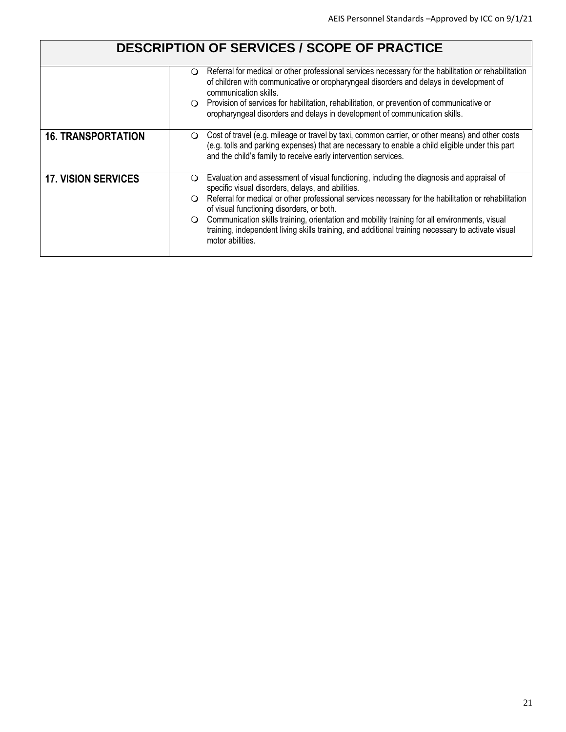|                            | <b>DESCRIPTION OF SERVICES / SCOPE OF PRACTICE</b>                                                                                                                                                                                                                                                                                                                                                                                                                                                                                                         |
|----------------------------|------------------------------------------------------------------------------------------------------------------------------------------------------------------------------------------------------------------------------------------------------------------------------------------------------------------------------------------------------------------------------------------------------------------------------------------------------------------------------------------------------------------------------------------------------------|
|                            | Referral for medical or other professional services necessary for the habilitation or rehabilitation<br>$\circ$<br>of children with communicative or oropharyngeal disorders and delays in development of<br>communication skills.<br>$\bigcirc$ Provision of services for habilitation, rehabilitation, or prevention of communicative or<br>oropharyngeal disorders and delays in development of communication skills.                                                                                                                                   |
| <b>16. TRANSPORTATION</b>  | Cost of travel (e.g. mileage or travel by taxi, common carrier, or other means) and other costs<br>O<br>(e.g. tolls and parking expenses) that are necessary to enable a child eligible under this part<br>and the child's family to receive early intervention services.                                                                                                                                                                                                                                                                                  |
| <b>17. VISION SERVICES</b> | Evaluation and assessment of visual functioning, including the diagnosis and appraisal of<br>O<br>specific visual disorders, delays, and abilities.<br>Referral for medical or other professional services necessary for the habilitation or rehabilitation<br>$\Omega$<br>of visual functioning disorders, or both.<br>Communication skills training, orientation and mobility training for all environments, visual<br>$\circ$<br>training, independent living skills training, and additional training necessary to activate visual<br>motor abilities. |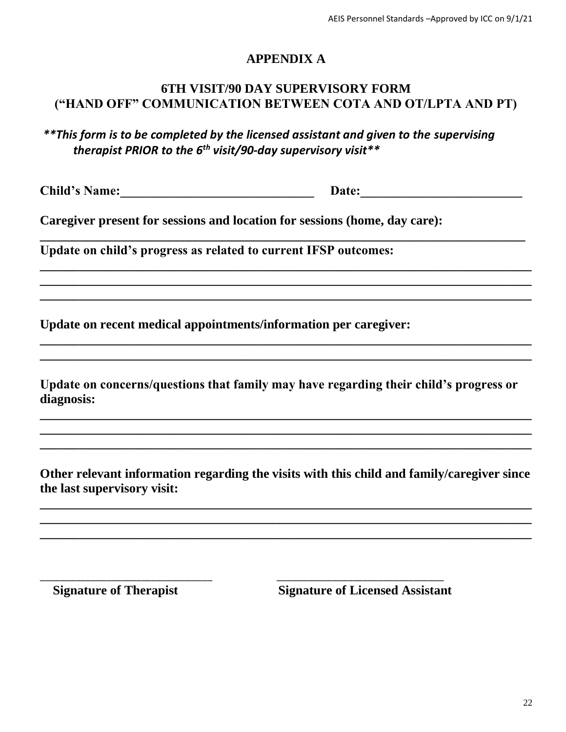#### **APPENDIX A**

#### **6TH VISIT/90 DAY SUPERVISORY FORM ("HAND OFF" COMMUNICATION BETWEEN COTA AND OT/LPTA AND PT)**

*\*\*This form is to be completed by the licensed assistant and given to the supervising therapist PRIOR to the 6th visit/90-day supervisory visit\*\**

**\_\_\_\_\_\_\_\_\_\_\_\_\_\_\_\_\_\_\_\_\_\_\_\_\_\_\_\_\_\_\_\_\_\_\_\_\_\_\_\_\_\_\_\_\_\_\_\_\_\_\_\_\_\_\_\_\_\_\_\_\_\_\_\_\_\_\_\_\_\_\_\_\_\_\_**

**\_\_\_\_\_\_\_\_\_\_\_\_\_\_\_\_\_\_\_\_\_\_\_\_\_\_\_\_\_\_\_\_\_\_\_\_\_\_\_\_\_\_\_\_\_\_\_\_\_\_\_\_\_\_\_\_\_\_\_\_\_\_\_\_\_\_\_\_\_\_\_\_\_\_\_\_ \_\_\_\_\_\_\_\_\_\_\_\_\_\_\_\_\_\_\_\_\_\_\_\_\_\_\_\_\_\_\_\_\_\_\_\_\_\_\_\_\_\_\_\_\_\_\_\_\_\_\_\_\_\_\_\_\_\_\_\_\_\_\_\_\_\_\_\_\_\_\_\_\_\_\_\_ \_\_\_\_\_\_\_\_\_\_\_\_\_\_\_\_\_\_\_\_\_\_\_\_\_\_\_\_\_\_\_\_\_\_\_\_\_\_\_\_\_\_\_\_\_\_\_\_\_\_\_\_\_\_\_\_\_\_\_\_\_\_\_\_\_\_\_\_\_\_\_\_\_\_\_\_**

**\_\_\_\_\_\_\_\_\_\_\_\_\_\_\_\_\_\_\_\_\_\_\_\_\_\_\_\_\_\_\_\_\_\_\_\_\_\_\_\_\_\_\_\_\_\_\_\_\_\_\_\_\_\_\_\_\_\_\_\_\_\_\_\_\_\_\_\_\_\_\_\_\_\_\_\_ \_\_\_\_\_\_\_\_\_\_\_\_\_\_\_\_\_\_\_\_\_\_\_\_\_\_\_\_\_\_\_\_\_\_\_\_\_\_\_\_\_\_\_\_\_\_\_\_\_\_\_\_\_\_\_\_\_\_\_\_\_\_\_\_\_\_\_\_\_\_\_\_\_\_\_\_**

**Child's Name:** Date:

**Caregiver present for sessions and location for sessions (home, day care):** 

**Update on child's progress as related to current IFSP outcomes:** 

**Update on recent medical appointments/information per caregiver:** 

**Update on concerns/questions that family may have regarding their child's progress or diagnosis:** 

**\_\_\_\_\_\_\_\_\_\_\_\_\_\_\_\_\_\_\_\_\_\_\_\_\_\_\_\_\_\_\_\_\_\_\_\_\_\_\_\_\_\_\_\_\_\_\_\_\_\_\_\_\_\_\_\_\_\_\_\_\_\_\_\_\_\_\_\_\_\_\_\_\_\_\_\_ \_\_\_\_\_\_\_\_\_\_\_\_\_\_\_\_\_\_\_\_\_\_\_\_\_\_\_\_\_\_\_\_\_\_\_\_\_\_\_\_\_\_\_\_\_\_\_\_\_\_\_\_\_\_\_\_\_\_\_\_\_\_\_\_\_\_\_\_\_\_\_\_\_\_\_\_ \_\_\_\_\_\_\_\_\_\_\_\_\_\_\_\_\_\_\_\_\_\_\_\_\_\_\_\_\_\_\_\_\_\_\_\_\_\_\_\_\_\_\_\_\_\_\_\_\_\_\_\_\_\_\_\_\_\_\_\_\_\_\_\_\_\_\_\_\_\_\_\_\_\_\_\_**

**Other relevant information regarding the visits with this child and family/caregiver since the last supervisory visit:** 

**\_\_\_\_\_\_\_\_\_\_\_\_\_\_\_\_\_\_\_\_\_\_\_\_\_\_\_\_\_\_\_\_\_\_\_\_\_\_\_\_\_\_\_\_\_\_\_\_\_\_\_\_\_\_\_\_\_\_\_\_\_\_\_\_\_\_\_\_\_\_\_\_\_\_\_\_ \_\_\_\_\_\_\_\_\_\_\_\_\_\_\_\_\_\_\_\_\_\_\_\_\_\_\_\_\_\_\_\_\_\_\_\_\_\_\_\_\_\_\_\_\_\_\_\_\_\_\_\_\_\_\_\_\_\_\_\_\_\_\_\_\_\_\_\_\_\_\_\_\_\_\_\_ \_\_\_\_\_\_\_\_\_\_\_\_\_\_\_\_\_\_\_\_\_\_\_\_\_\_\_\_\_\_\_\_\_\_\_\_\_\_\_\_\_\_\_\_\_\_\_\_\_\_\_\_\_\_\_\_\_\_\_\_\_\_\_\_\_\_\_\_\_\_\_\_\_\_\_\_**

\_\_\_\_\_\_\_\_\_\_\_\_\_\_\_\_\_\_\_\_\_\_\_\_\_\_\_\_\_\_\_\_\_\_ \_\_\_\_\_\_\_\_\_\_\_\_\_\_\_\_\_\_\_\_\_\_\_\_\_\_\_\_\_\_\_\_\_

**Signature of Therapist Signature of Licensed Assistant**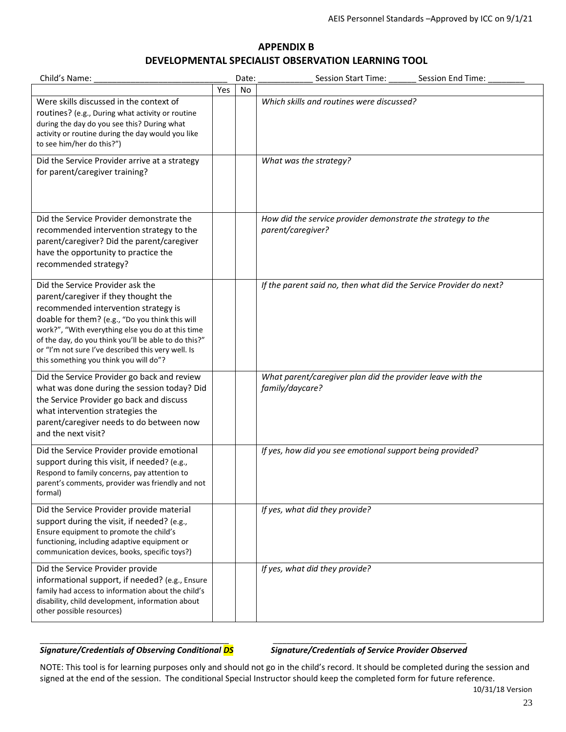#### **APPENDIX B DEVELOPMENTAL SPECIALIST OBSERVATION LEARNING TOOL**

| Child's Name:                                                                                                                                                                                                                                                                                                                                                                    |     | Date: | <b>Session Start Time:</b><br>Session End Time:                                   |
|----------------------------------------------------------------------------------------------------------------------------------------------------------------------------------------------------------------------------------------------------------------------------------------------------------------------------------------------------------------------------------|-----|-------|-----------------------------------------------------------------------------------|
|                                                                                                                                                                                                                                                                                                                                                                                  | Yes | No    |                                                                                   |
| Were skills discussed in the context of<br>routines? (e.g., During what activity or routine<br>during the day do you see this? During what<br>activity or routine during the day would you like<br>to see him/her do this?")                                                                                                                                                     |     |       | Which skills and routines were discussed?                                         |
| Did the Service Provider arrive at a strategy<br>for parent/caregiver training?                                                                                                                                                                                                                                                                                                  |     |       | What was the strategy?                                                            |
| Did the Service Provider demonstrate the<br>recommended intervention strategy to the<br>parent/caregiver? Did the parent/caregiver<br>have the opportunity to practice the<br>recommended strategy?                                                                                                                                                                              |     |       | How did the service provider demonstrate the strategy to the<br>parent/caregiver? |
| Did the Service Provider ask the<br>parent/caregiver if they thought the<br>recommended intervention strategy is<br>doable for them? (e.g., "Do you think this will<br>work?", "With everything else you do at this time<br>of the day, do you think you'll be able to do this?"<br>or "I'm not sure I've described this very well. Is<br>this something you think you will do"? |     |       | If the parent said no, then what did the Service Provider do next?                |
| Did the Service Provider go back and review<br>what was done during the session today? Did<br>the Service Provider go back and discuss<br>what intervention strategies the<br>parent/caregiver needs to do between now<br>and the next visit?                                                                                                                                    |     |       | What parent/caregiver plan did the provider leave with the<br>family/daycare?     |
| Did the Service Provider provide emotional<br>support during this visit, if needed? (e.g.,<br>Respond to family concerns, pay attention to<br>parent's comments, provider was friendly and not<br>formal)                                                                                                                                                                        |     |       | If yes, how did you see emotional support being provided?                         |
| Did the Service Provider provide material<br>support during the visit, if needed? (e.g.,<br>Ensure equipment to promote the child's<br>functioning, including adaptive equipment or<br>communication devices, books, specific toys?)                                                                                                                                             |     |       | If yes, what did they provide?                                                    |
| Did the Service Provider provide<br>informational support, if needed? (e.g., Ensure<br>family had access to information about the child's<br>disability, child development, information about<br>other possible resources)                                                                                                                                                       |     |       | If yes, what did they provide?                                                    |

#### *Signature/Credentials of Observing Conditional DS Signature/Credentials of Service Provider Observed*

NOTE: This tool is for learning purposes only and should not go in the child's record. It should be completed during the session and signed at the end of the session. The conditional Special Instructor should keep the completed form for future reference.

\_\_\_\_\_\_\_\_\_\_\_\_\_\_\_\_\_\_\_\_\_\_\_\_\_\_\_\_\_\_\_\_\_\_\_\_\_\_\_\_\_ \_\_\_\_\_\_\_\_\_\_\_\_\_\_\_\_\_\_\_\_\_\_\_\_\_\_\_\_\_\_\_\_\_\_\_\_\_\_\_\_\_\_